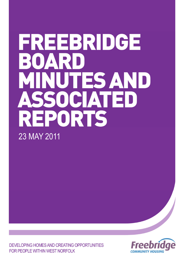# FREEBRIDGE BOAR D MINUTES AND SSOCIATED REPORTS 23 MAY 2011

DEVELOPING HOMES AND CREATING OPPORTUNITIES FOR PEOPLE WITHIN WEST NORFOLK

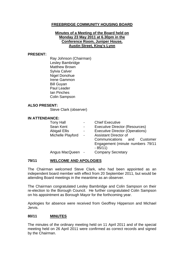## **FREEBRIDGE COMMUNITY HOUSING BOARD**

## **Minutes of a Meeting of the Board held on Monday 23 May 2011 at 6.30pm in the Conference Room, Juniper House, Austin Street, King's Lynn**

## **PRESENT:**

Ray Johnson (Chairman) Lesley Bambridge Matthew Brown Sylvia Calver Nigel Donohue Irene Gammon Bill Guyan Paul Leader Ian Pinches Colin Sampson

## **ALSO PRESENT:**

Steve Clark (observer)

## **IN ATTENDANCE:**

| <b>Tony Hall</b><br>Sean Kent<br>Abigail Ellis<br>Michelle Playford | $\blacksquare$<br>$\overline{\phantom{a}}$<br>$\blacksquare$<br>$\sim$ | <b>Chief Executive</b><br><b>Executive Director (Resources)</b><br><b>Executive Director (Operations)</b><br><b>Assistant Director of</b><br>Communications and<br>Customer<br>Engagement (minute numbers 79/11<br>$-85/11$ |
|---------------------------------------------------------------------|------------------------------------------------------------------------|-----------------------------------------------------------------------------------------------------------------------------------------------------------------------------------------------------------------------------|
| Angus MacQueen                                                      |                                                                        | <b>Company Secretary</b>                                                                                                                                                                                                    |

## **79/11 WELCOME AND APOLOGIES**

The Chairman welcomed Steve Clark, who had been appointed as an independent board member with effect from 20 September 2011, but would be attending Board meetings in the meantime as an observer.

The Chairman congratulated Lesley Bambridge and Colin Sampson on their re-election to the Borough Council. He further congratulated Colin Sampson on his appointment as Borough Mayor for the forthcoming year.

Apologies for absence were received from Geoffrey Hipperson and Michael Jervis.

## **80/11 MINUTES**

The minutes of the ordinary meeting held on 11 April 2011 and of the special meeting held on 26 April 2011 were confirmed as correct records and signed by the Chairman.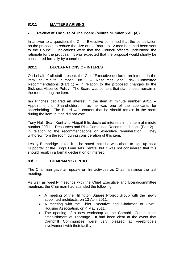## **81/11 MATTERS ARISING**

## • **Review of The Size of The Board (Minute Number 55/11(a))**

In answer to a question, the Chief Executive confirmed that the consultation on the proposal to reduce the size of the Board to 12 members had been sent to the Council. Indications were that the Council officers understood the rationale for the proposal. It was expected that the proposal would shortly be considered formally by councillors.

## **82/11 DECLARATIONS OF INTEREST**

On behalf of all staff present, the Chief Executive declared an interest in the item at minute number 88/11 – Resources and Risk Committee Recommendations (Part 1) – in relation to the proposed changes to the Sickness Absence Policy. The Board was content that staff should remain in the room during the item.

Ian Pinches declared an interest in the item at minute number  $94/11 -$ Appointment of Shareholders – as he was one of the applicants for shareholding. The Board was content that he should remain in the room during the item, but he did not vote.

Tony Hall, Sean Kent and Abigail Ellis declared interests in the item at minute number 99/11 – Resources and Risk Committee Recommendations (Part 2) – in relation to the recommendations on executive remuneration. They withdrew from the room during consideration of this item.

Lesley Bambridge asked it to be noted that she was about to sign up as a Supporter of the King's Lynn Arts Centre, but it was not considered that this should result in a formal declaration of interest.

## **83/11 CHAIRMAN'S UPDATE**

The Chairman gave an update on his activities as Chairman since the last meeting.

As well as weekly meetings with the Chief Executive and Board/committee meetings, the Chairman had attended the following:

- A meeting of the Hillington Square Project Group with the newly appointed architects, on 13 April 2011.
- A meeting with the Chief Executive and Chairman of Orwell Housing Association, on 4 May 2011.
- The opening of a new workshop at the Camphill Communities establishment at Thornage. It had been clear at the event that Camphill Communities were very pleased at Freebridge's involvement with their facility.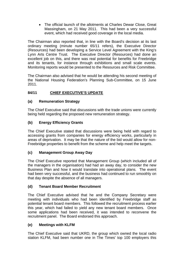• The official launch of the allotments at Charles Dewar Close, Great Massingham, on 21 May 2011. This had been a very successful event, which had received good coverage in the local media.

The Chairman also reported that, in line with the Board's decision at its last ordinary meeting (minute number 65/11 refers), the Executive Director (Resources) had been developing a Service Level Agreement with the King's Lynn Arts Centre Trust. The Executive Director (Resources) had done an excellent job on this, and there was real potential for benefits for Freebridge and its tenants, for instance through exhibitions and small scale events. Monitoring reports would be presented to the Resources and Risk Committee.

The Chairman also advised that he would be attending his second meeting of the National Housing Federation's Planning Sub-Committee, on 15 June 2011.

## **84/11 CHIEF EXECUTIVE'S UPDATE**

## **(a) Remuneration Strategy**

The Chief Executive said that discussions with the trade unions were currently being held regarding the proposed new remuneration strategy.

## **(b) Energy Efficiency Grants**

The Chief Executive stated that discussions were being held with regard to accessing grants from companies for energy efficiency works, particularly in areas of deprivation. It may be that the nature of the bid would allow for non-Freebridge properties to benefit from the scheme and help meet the targets.

## **(c) Management Group Away Day**

The Chief Executive reported that Management Group (which included all of the managers in the organisation) had had an away day, to consider the new Business Plan and how it would translate into operational plans. The event had been very successful, and the business had continued to run smoothly on that day despite the absence of all managers.

## **(d) Tenant Board Member Recruitment**

The Chief Executive advised that he and the Company Secretary were meeting with individuals who had been identified by Freebridge staff as potential tenant board members. This followed the recruitment process earlier this year, which had failed to yield any new tenant board members. Once some applications had been received, it was intended to reconvene the recruitment panel. The Board endorsed this approach.

## **(e) Meetings with KLFM**

The Chief Executive said that UKRD, the group which owned the local radio station KLFM, had been number one in The Times' top 100 employers this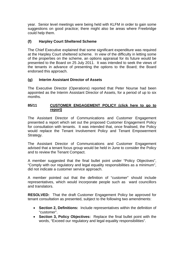year. Senior level meetings were being held with KLFM in order to gain some suggestions on good practice; there might also be areas where Freebridge could help them.

## **(f) Harpley Court Sheltered Scheme**

The Chief Executive explained that some significant expenditure was required at the Harpley Court sheltered scheme. In view of the difficulty in letting some of the properties on the scheme, an options appraisal for its future would be presented to the Board on 25 July 2011. It was intended to seek the views of the tenants in advance of presenting the options to the Board; the Board endorsed this approach.

## **(g) Interim Assistant Director of Assets**

The Executive Director (Operations) reported that Peter Nourse had been appointed as the Interim Assistant Director of Assets, for a period of up to six months.

## **85/11 [CUSTOMER ENGAGEMENT POLICY \(click here to go to](#page-9-0) report)**

The Assistant Director of Communications and Customer Engagement presented a report which set out the proposed Customer Engagement Policy for consultation with tenants. It was intended that, once finalised, the Policy would replace the Tenant Involvement Policy and Tenant Empowerment Strategy.

The Assistant Director of Communications and Customer Engagement advised that a tenant focus group would be held in June to consider the Policy and to review the Tenant Compact.

A member suggested that the final bullet point under "Policy Objectives", "Comply with our regulatory and legal equality responsibilities as a minimum", did not indicate a customer service approach.

A member pointed out that the definition of "customer" should include representatives, which would incorporate people such as ward councillors and translators.

**RESOLVED:** That the draft Customer Engagement Policy be approved for tenant consultation as presented, subject to the following two amendments:

- **Section 2, Definitions:** Include representatives within the definition of "customer".
- **Section 3, Policy Objectives:** Replace the final bullet point with the words, "Exceed our regulatory and legal equality responsibilities".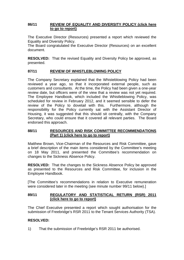## **86/11 [REVIEW OF EQUALITY AND DIVERSITY POLICY \(click here](#page-18-0)  to go to report)**

The Executive Director (Resources) presented a report which reviewed the Equality and Diversity Policy.

The Board congratulated the Executive Director (Resources) on an excellent document.

**RESOLVED:** That the revised Equality and Diversity Policy be approved, as presented.

## **87/11 REVIEW OF WHISTLEBLOWING POLICY**

The Company Secretary explained that the Whisteblowing Policy had been reviewed a year ago, so that it incorporated external people, such as customers and consultants. At the time, the Policy had been given a one-year review date, but officers were of the view that a review was not yet required. The Employee Handbook, which included the Whistleblowing Policy, was scheduled for review in February 2012, and it seemed sensible to defer the review of the Policy to dovetail with this. Furthermore, although the responsibility for the Policy currently sat with the Assistant Director of Housing, it was suggested that this should sit centrally, with the Company Secretary, who could ensure that it covered all relevant parties. The Board endorsed this approach.

## **88/11 RESOURCES AND RISK COMMITTEE RECOMMENDATIONS (Part 1) [\(click here to go to report\)](#page-29-0)**

Matthew Brown, Vice-Chairman of the Resources and Risk Committee, gave a brief description of the main items considered by the Committee's meeting on 18 May 2011, and presented the Committee's recommendation on changes to the Sickness Absence Policy.

**RESOLVED:** That the changes to the Sickness Absence Policy be approved as presented to the Resources and Risk Committee, for inclusion in the Employee Handbook.

[The Committee's recommendations in relation to Executive remuneration were considered later in the meeting (see minute number 99/11 below).]

## **89/11 [REGULATORY AND STATISTICAL RETURN \(RSR\) 2011](#page-30-0) (click here to go to report)**

The Chief Executive presented a report which sought authorisation for the submission of Freebridge's RSR 2011 to the Tenant Services Authority (TSA).

## **RESOLVED:**

1) That the submission of Freebridge's RSR 2011 be authorised.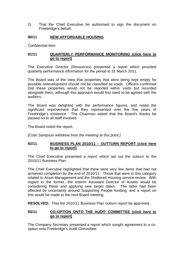2) That the Chief Executive be authorised to sign the document on Freebridge's behalf.

## **90/11 NEW AFFORDABLE HOUSING**

Confidential item

## **91/11 [QUARTERLY PERFORMANCE MONITORING \(click here to](#page-31-0)  go to report)**

The Executive Director (Resources) presented a report which provided quarterly performance information for the period to 31 March 2011.

The Board was of the view that properties that were being kept empty for possible redevelopment should not be classified as voids. Officers confirmed that these properties would not be reported within voids but recorded alongside them, although this approach would first need to be agreed with the auditors.

The Board was delighted with the performance figures, and noted the significant improvement that they represented over the five years of Freebridge's existence. The Chairman asked that the Board's thanks be passed on to all staff involved.

The Board noted the report.

*[Colin Sampson withdrew from the meeting at this point.]* 

## 92/11 **BUSINESS PLAN 2010/11 - OUTTURN REPORT (click here to go to report)**

The Chief Executive presented a report which set out the outturn to the 2010/11 Business Plan.

The Chief Executive highlighted that there were very few items that had not achieved completion by the end of 2010/11. Those that were in this category related to Asset Management and the Sheltered Housing service review. With regard to the former, the Interim Assistant Director of Assets would be considering these and applying new target dates. The latter had been affected by uncertainty around Supporting People funding, and a report on this would be made to the next Board meeting.

**RESOLVED:** That the 2010/11 Business Plan outturn report be approved.

## **93/11 [CO-OPTION ONTO THE AUDIT COMMITTEE \(click here to](#page-53-0)  go to report)**

The Company Secretary presented a report which sought agreement to a cooption onto Freebridge's Audit Committee.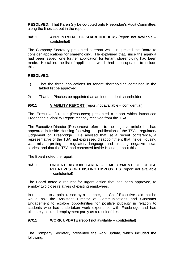**RESOLVED:** That Karen Sly be co-opted onto Freebridge's Audit Committee, along the lines set out in the report.

## **94/11** APPOINTMENT OF SHAREHOLDERS (report not available – confidential)

The Company Secretary presented a report which requested the Board to consider applications for shareholding. He explained that, since the agenda had been issued, one further application for tenant shareholding had been made. He tabled the list of applications which had been updated to include this.

## **RESOLVED:**

- 1) That the three applications for tenant shareholding contained in the tabled list be approved.
- 2) That Ian Pinches be appointed as an independent shareholder.

## **95/11 VIABILITY REPORT** (report not available – confidential)

The Executive Director (Resources) presented a report which introduced Freebridge's Viability Report recently received from the TSA.

The Executive Director (Resources) referred to the negative article that had appeared in Inside Housing following the publication of the TSA's regulatory judgement on Freebridge. He advised that, at a recent conference, a representative of the TSA had expressed disappointment that Inside Housing was misinterpreting its regulatory language and creating negative news stories, and that the TSA had contacted Inside Housing about this.

The Board noted the report.

## **96/11 URGENT ACTION TAKEN – EMPLOYMENT OF CLOSE RELATIVES OF EXISTING EMPLOYEES** (report not available – confidential)

The Board noted a request for urgent action that had been approved, to employ two close relatives of existing employees.

In response to a point raised by a member, the Chief Executive said that he would ask the Assistant Director of Communications and Customer Engagement to explore opportunities for positive publicity in relation to students who had undertaken work experience with Freebridge and had ultimately secured employment partly as a result of this.

## **97/11 WORK UPDATE** (report not available – confidential)

The Company Secretary presented the work update, which included the following: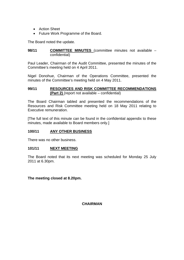- Action Sheet
- Future Work Programme of the Board.

The Board noted the update.

## **98/11 COMMITTEE MINUTES** (committee minutes not available – confidential)

Paul Leader, Chairman of the Audit Committee, presented the minutes of the Committee's meeting held on 4 April 2011.

Nigel Donohue, Chairman of the Operations Committee, presented the minutes of the Committee's meeting held on 4 May 2011.

## **99/11 RESOURCES AND RISK COMMITTEE RECOMMENDATIONS (Part 2)** (report not available – confidential)

The Board Chairman tabled and presented the recommendations of the Resources and Risk Committee meeting held on 18 May 2011 relating to Executive remuneration.

[The full text of this minute can be found in the confidential appendix to these minutes, made available to Board members only.]

## **100/11 ANY OTHER BUSINESS**

There was no other business.

## **101/11 NEXT MEETING**

The Board noted that its next meeting was scheduled for Monday 25 July 2011 at 6.30pm.

**The meeting closed at 8.20pm.** 

**CHAIRMAN**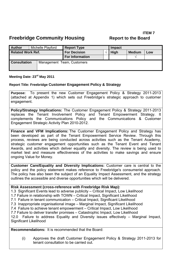# **ITEM 7**

<span id="page-9-0"></span>

| <b>Author</b>                                     |  | Michelle Playford | <b>Report Type</b>     |  | Impact      |               |     |
|---------------------------------------------------|--|-------------------|------------------------|--|-------------|---------------|-----|
| <b>Related Work Ref.</b>                          |  |                   | <b>For Decision</b>    |  | <b>High</b> | <b>Medium</b> | Low |
|                                                   |  |                   | <b>For Information</b> |  |             |               |     |
| <b>Consultation</b><br>Management Team, Customers |  |                   |                        |  |             |               |     |

## **Meeting Date: 23rd May 2011**

## **Report Title: Freebridge Customer Engagement Policy & Strategy**

**Purpose:** To present the new Customer Engagement Policy & Strategy 2011-2013 (attached at Appendix 1) which sets out Freebridge's strategic approach to customer engagement.

**Policy/Strategy Implications:** The Customer Engagement Policy & Strategy 2011-2013 replaces the Tenant Involvement Policy and Tenant Empowerment Strategy. It complements the Communications Policy and the Communications & Customer Engagement Strategic Activity Plan 2010-2012.

**Finance and VFM Implications:** The Customer Engagement Policy and Strategy has been developed as part of the Tenant Empowerment Service Review. Through this process, reviews are being conducted across activities such as the Tenant Academy, strategic customer engagement opportunities such as the Tenant Event and Tenant Awards, and activities which deliver equality and diversity. The review is being used to market test and measure effectiveness of the activities to make savings and ensure ongoing Value for Money.

**Customer Care/Equality and Diversity Implications:** Customer care is central to the policy and the policy statement makes reference to Freebridge's consumerist approach. The policy has also been the subject of an Equality Impact Assessment, and the strategy outlines the accessible and diverse opportunities which will be delivered.

## **Risk Assessment (cross-reference with Freebridge Risk Map):**

- 1.3 Significant Events lead to adverse publicity Critical Impact, Low Likelihood
- 1.7 Failure in relationship with TOWN Critical Impact, Significant Likelihood
- 7.1 Failure in tenant communication Critical Impact, Significant Likelihood
- 7.3 Inappropriate organisational image Marginal Impact, Significant Likelihood
- 7.4 Failure to achieve tenant empowerment Critical Impact, Low Likelihood

7.7 Failure to deliver transfer promises – Catastrophic Impact, Low Likelihood 12.0 Failure to address Equality and Diversity issues effectively – Marginal Impact, Significant Likelihood

**Recommendations:** It is recommended that the Board:

(i) Approves the draft Customer Engagement Policy & Strategy 2011-2013 for tenant consultation to be carried out.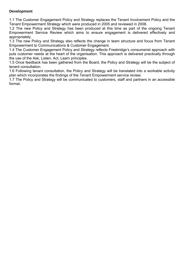## **Development**

1.1 The Customer Engagement Policy and Strategy replaces the Tenant Involvement Policy and the Tenant Empowerment Strategy which were produced in 2005 and reviewed in 2008.

1.2 The new Policy and Strategy has been produced at this time as part of the ongoing Tenant Empowerment Service Review which aims to ensure engagement is delivered effectively and appropriately.

1.3 The new Policy and Strategy also reflects the change in team structure and focus from Tenant Empowerment to Communications & Customer Engagement.

1.4 The Customer Engagement Policy and Strategy reflects Freebridge's consumerist approach with puts customer needs at the heart of the organisation. This approach is delivered practically through the use of the Ask, Listen, Act, Learn principles.

1.5 Once feedback has been gathered from the Board, the Policy and Strategy will be the subject of tenant consultation.

1.6 Following tenant consultation, the Policy and Strategy will be translated into a workable activity plan which incorporates the findings of the Tenant Empowerment service review.

1.7 The Policy and Strategy will be communicated to customers, staff and partners in an accessible format.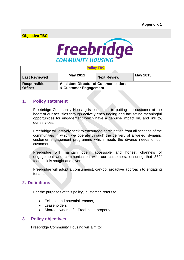**Objective TBC** 



## **Policy TBC**

| <b>Last Reviewed</b> | <b>May 2011</b>                             | <b>Next Review</b> | May 2013 |
|----------------------|---------------------------------------------|--------------------|----------|
| Responsible          | <b>Assistant Director of Communications</b> |                    |          |
| <b>Officer</b>       | & Customer Engagement                       |                    |          |

## **1. Policy statement**

Freebridge Community Housing is committed to putting the customer at the heart of our activities through actively encouraging and facilitating meaningful opportunities for engagement which have a genuine impact on, and link to, our services.

Freebridge will actively seek to encourage participation from all sections of the communities in which we operate through the delivery of a varied, dynamic customer engagement programme which meets the diverse needs of our customers.

Freebridge will maintain open, accessible and honest channels of engagement and communication with our customers, ensuring that 360˚ feedback is sought and given.

Freebridge will adopt a consumerist, can-do, proactive approach to engaging tenants.

## **2. Definitions**

For the purposes of this policy, 'customer' refers to:

- Existing and potential tenants,
- **Leaseholders**
- Shared owners of a Freebridge property.

## **3. Policy objectives**

Freebridge Community Housing will aim to: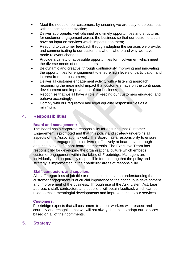- Meet the needs of our customers, by ensuring we are easy to do business with, to increase satisfaction;
- Deliver appropriate, well-planned and timely opportunities and structures for customer engagement across the business so that our customers can have an input on services which impact upon them;
- Respond to customer feedback through adapting the services we provide, and communicating to our customers when, where and why we have made relevant changes;
- Provide a variety of accessible opportunities for involvement which meet the diverse needs of our customers;
- Be dynamic and creative, through continuously improving and innovating the opportunities for engagement to ensure high levels of participation and interest from our customers;
- Deliver all customer engagement activity with a listening approach, recognising the meaningful impact that customers have on the continuous development and improvement of our business;
- Recognise that we all have a role in keeping our customers engaged, and behave accordingly;
- Comply with our regulatory and legal equality responsibilities as a minimum.

## **4. Responsibilities**

## **Board and management:**

The Board has a corporate responsibility for ensuring that Customer Engagement is promoted and that this policy and strategy underpins all aspects of the Association's work. The Board has a responsibility to ensure that customer engagement is delivered effectively at board-level through ensuring a level of tenant board membership. The Executive Team has responsibility for developing the organisational culture which embeds customer engagement within the fabric of Freebridge. Managers are individually and corporately responsible for ensuring that the policy and strategy is implemented in their particular areas of responsibility.

## **Staff, contractors and suppliers:**

All staff, regardless of job title or remit, should have an understanding that customer engagement is of crucial importance to the continuous development and improvement of the business. Through use of the Ask, Listen, Act, Learn approach, staff, contractors and suppliers will obtain feedback which can be used to make meaningful developments and improvements to our services.

## **Customers:**

Freebridge expects that all customers treat our workers with respect and courtesy and recognise that we will not always be able to adapt our services based on all of their comments.

## **5. Strategy**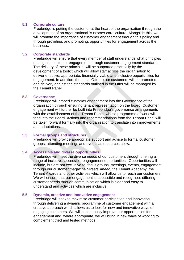## **5.1 Corporate culture**

Freebridge is putting the customer at the heart of the organisation through the development of an organisational 'customer care' culture. Alongside this, we will promote the importance of customer engagement through this policy and through providing, and promoting, opportunities for engagement across the business.

## **5.2 Corporate standards**

Freebridge will ensure that every member of staff understands what principles must guide customer engagement through customer engagement standards. The delivery of these principles will be supported practically by the development of a toolkit which will allow staff across the organisation to deliver effective, appropriate, financially-viable and inclusive opportunities for engagement. In addition, the Local Offer to our customers will be promoted and delivery against the standards outlined in the Offer will be managed by the Tenant Panel.

## **5.3 Governance**

Freebridge will embed customer engagement into the Governance of the organisation through ensuring tenant representation on the board. Customer engagement will further be built into Freebridge's governance arrangements with the establishment of the Tenant Panel, whose programme of work will feed into the Board. Actions and recommendations from the Tenant Panel will be taken forward formally into the organisation to translate into improvements and adaptations.

## **5.3 Formal groups and structures**

Freebridge will provide appropriate support and advice to formal customer groups, attending meetings and events as resources allow.

## **5.4 Accessible and diverse opportunities**

Freebridge will meet the diverse needs of our customers through offering a range of inclusive, accessible engagement opportunities. Opportunities will include, but are not exclusive to, focus groups, meetings, events, engagement through our customer magazine *Streets Ahead,* the Tenant Academy, the Tenant Awards and other activities which will allow us to reach our customers. We will ensure that our engagement is accessible and recognises differing customer needs through communication which is clear and easy to understand and activities which are inclusive.

## **5.5 Dynamic, creative and innovative engagement**

Freebridge will seek to maximise customer participation and innovation through delivering a dynamic programme of customer engagement with a creative approach which allows us to look for new and innovative ways of engaging customers. We will continuously improve our opportunities for engagement and, where appropriate, we will bring in new ways of working to complement tried and tested methods.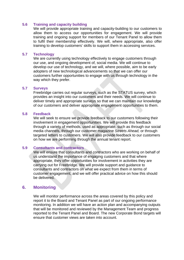## **5.6 Training and capacity building**

We will provide appropriate training and capacity-building to our customers to allow them to access our opportunities for engagement. We will provide training and ongoing support for members of our Tenant Panel to allow them to fulfil their membership effectively. We will, where appropriate, also offer training to develop customers' skills to support them in accessing services.

## **5.7 Technology**

We are currently using technology effectively to engage customers through our use, and ongoing development of, social media. We will continue to develop our use of technology, and we will, where possible, aim to be early adopters of new technological advancements so that we can offer our customers further opportunities to engage with us through technology in the way which they prefer.

## **5.7 Surveys**

Freebridge carries out regular surveys, such as the STATUS survey, which provides an insight into our customers and their needs. We will continue to deliver timely and appropriate surveys so that we can maintain our knowledge of our customers and deliver appropriate engagement opportunities to them.

## **5.8 Feedback**

We will seek to ensure we provide feedback to our customers following their involvement in engagement opportunities. We will provide this feedback through a variety of methods, used as appropriate, such as through our social media channels, through our customer magazine *Streets Ahead,* or through targeted letters to customers. We will also provide feedback to our customers on how we are performing through the annual tenant report.

## **5.9 Consultants and contractors**

We will ensure that consultants and contractors who are working on behalf of us understand the importance of engaging customers and that where appropriate, they offer opportunities for involvement in activities they are carrying out for Freebridge. We will provide support and guidance to consultants and contractors on what we expect from them in terms of customer engagement, and we will offer practical advice on how this should be delivered.

## **6. Monitoring**

We will monitor performance across the areas covered by this policy and report it to the Board and Tenant Panel as part of our ongoing performance monitoring. In addition we will have an action plan and accompanying outputs that will be monitored and reviewed by the Management Team and progress reported to the Tenant Panel and Board. The new Corporate Bond targets will ensure that customer views are taken into account.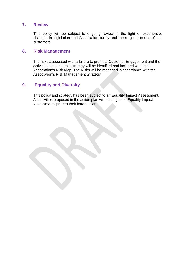## **7. Review**

This policy will be subject to ongoing review in the light of experience, changes in legislation and Association policy and meeting the needs of our customers.

## **8. Risk Management**

The risks associated with a failure to promote Customer Engagement and the activities set out in this strategy will be identified and included within the Association's Risk Map. The Risks will be managed in accordance with the Association's Risk Management Strategy.

## **9. Equality and Diversity**

This policy and strategy has been subject to an Equality Impact Assessment. All activities proposed in the action plan will be subject to Equality Impact Assessments prior to their introduction.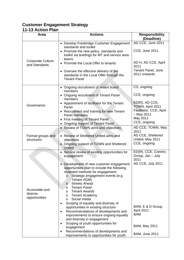## **Customer Engagement Strategy 11-13 Action Plan**

#### Area | Actions | Responsibility **(Deadline)**  Corporate Culture and Standards • Develop Freebridge Customer Engagement standards and toolkit • Promote the new policy, standards and toolkit via briefings for MT and service area teams • Promote the Local Offer to tenants • Oversee the effective delivery of the standards in the Local Offer through the Tenant Panel AD CCE, June 2011 CCE, June 2011 AD H, AD CCE, April 2011 Tenant Panel, June 2011 onwards Governance • Ongoing recruitment of tenant board members • Ongoing recruitment of Tenant Panel members • Appointment of facilitator for the Tenant Panel • Recruitment and training for new Tenant Panel members • First meeting of Tenant Panel • Ongoing support of Tenant Panel CS, ongoing CCE, ongoing ED(R), AD CCE, TOWN, April 2011 Facilitator, CCE, April – May 2011 May 2011 CCE, ongoing Formal groups and structures • Review of TOWN aims and objectives • Review of Sheltered United aims and objectives • Ongoing support of TOWN and Sheltered **United** AD CCE, TOWN, May 2011 AD CCE, Sheltered United, May 2011 CCE, ongoing Accessible and diverse opportunities • Service review of existing opportunities for engagement • Development of new customer engagement opportunities plan to include the following reviewed methods for engagement: o Strategic engagement events (e.g. Tenant AGM) o Streets Ahead o Tenant Panel o Tenant Awards o Tenant Academy o Social media • Scoping of equality and diversity of opportunities in existing structure • Recommendations of developments and improvements to ensure ongoing equality and diversity in engagement • Scoping of youth opportunities for engagement • Recommendations of developments and improvements to opportunities for youth ED(R), CCE, Comms Group, Jan – July 2011 AD CCE, July 2011 BAM, E & D Group, April 2011 BAM BAM, May 2011 BAM, June 2011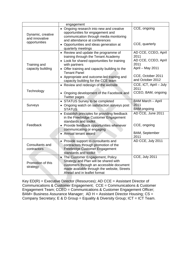|                                                      | engagement                                                                                                                                                                                                                                                                                               |                                                                                                                         |
|------------------------------------------------------|----------------------------------------------------------------------------------------------------------------------------------------------------------------------------------------------------------------------------------------------------------------------------------------------------------|-------------------------------------------------------------------------------------------------------------------------|
| Dynamic, creative<br>and innovative<br>opportunities | • Ongoing research into new and creative<br>opportunities for engagement and<br>communication through media monitoring<br>and attendance at conferences<br>• Opportunities and ideas generation at<br>quarterly meetings                                                                                 | CCE, ongoing<br>CCE, quarterly                                                                                          |
| Training and<br>capacity building                    | • Review and update the programme of<br>training through the Tenant Academy<br>• Look for shared opportunities for training<br>with partners<br>• Offer training and capacity building to the<br><b>Tenant Panel</b><br>• Appropriate and outcome-led training and<br>capacity building for the CCE team | AD CCE, CCEO, April<br>2011<br>AD CCE, CCEO, April<br>2011<br>April - May 2011<br>CCE, October 2011<br>and October 2012 |
| Technology                                           | • Review and redesign of the website<br>• Ongoing development of the Facebook and<br><b>Twitter pages</b>                                                                                                                                                                                                | CCE, ICT, April - July<br>2011<br>CCEO, BAM, ongoing                                                                    |
| Surveys                                              | • STATUS Survey to be completed<br>• Ongoing watch on satisfaction surveys post<br><b>STATUS</b>                                                                                                                                                                                                         | <b>BAM March - April</b><br>2011<br><b>BAM</b> ongoing                                                                  |
| Feedback                                             | • Establish principles for providing feedback<br>in the Freebridge Customer Engagement<br>standards and toolkit<br>• Provide feedback opportunities whenever<br>communicating or engaging<br>• Annual tenant award                                                                                       | AD CCE, June 2011<br>CCE, ongoing<br>BAM, September<br>2011                                                             |
| Consultants and<br>contractors                       | Provide support to consultants and<br>contractors through promotion of the<br>Freebridge Customer Engagement<br>standards and toolkit                                                                                                                                                                    | AD CCE, July 2011                                                                                                       |
| Promotion of this<br>strategy                        | The Customer Engagement, Policy<br>Strategy and Plan will be shared with<br>customers through an accessible document<br>made available through the website, Streets<br>Ahead and in leaflet format                                                                                                       | <b>CCE, July 2011</b>                                                                                                   |

 $Key ED(R) = Executive Director (Resource); AD CCE = Assistant Director of$ Communications & Customer Engagement; CCE = Communications & Customer Engagement Team; CCEO = Communications & Customer Engagement Officer; BAM= Business Assurance Manager; AD H = Assistant Director Housing; CS = Company Secretary; E & D Group = Equality & Diversity Group; ICT = ICT Team.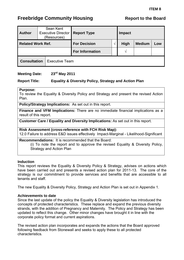# <span id="page-18-0"></span>**Freebridge Community Housing The Report to the Board Report to the Board**

| <b>Author</b>            |  | Sean Kent<br><b>Executive Director</b><br>(Resources) | <b>Report Type</b>     |  | Impact        |               |     |
|--------------------------|--|-------------------------------------------------------|------------------------|--|---------------|---------------|-----|
| <b>Related Work Ref.</b> |  |                                                       | <b>For Decision</b>    |  | <b>High</b>   | <b>Medium</b> | Low |
|                          |  |                                                       | <b>For Information</b> |  | $\mathcal{N}$ |               |     |
| <b>Consultation</b>      |  | <b>Executive Team</b>                                 |                        |  |               |               |     |

## **Meeting Date: 23rd May 2011**

## **Report Title: Equality & Diversity Policy, Strategy and Action Plan**

## **Purpose:**

To review the Equality & Diversity Policy and Strategy and present the revised Action Plan.

**Policy/Strategy Implications:** As set out in this report.

**Finance and VFM Implications:** There are no immediate financial implications as a result of this report.

**Customer Care / Equality and Diversity Implications:** As set out in this report.

**Risk Assessment (cross-reference with FCH Risk Map):**

12.0 Failure to address E&D issues effectively Impact-Marginal - Likelihood-Significant

**Recommendations:** It is recommended that the Board:

 (i) To note the report and to approve the revised Equality & Diversity Policy, Strategy and Action Plan

## **Induction**

This report reviews the Equality & Diversity Policy & Strategy, advises on actions which have been carried out and presents a revised action plan for 2011-13. The core of the strategy is our commitment to provide services and benefits that are accessible to all tenants and staff.

The new Equality & Diversity Policy, Strategy and Action Plan is set out in Appendix 1.

## **Achievements to date**

Since the last update of the policy the Equality & Diversity legislation has introduced the concepts of protected characteristics. These replace and expand the previous diversity strands, with the addition of Pregnancy and Maternity. The Policy and Strategy has been updated to reflect this change. Other minor changes have brought it in line with the corporate policy format and current aspirations.

The revised action plan incorporates and expands the actions that the Board approved following feedback from Stonewall and seeks to apply these to all protected characteristics*.*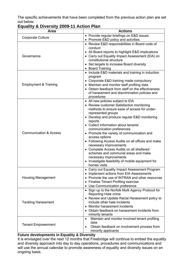The specific achievements that have been completed from the previous action plan are set out below.

| Area                              | <b>Actions</b>                                                                         |  |  |  |
|-----------------------------------|----------------------------------------------------------------------------------------|--|--|--|
| <b>Corporate Culture</b>          | • Provide regular briefings on E&D issues                                              |  |  |  |
|                                   | • Promote E&D policy and activities                                                    |  |  |  |
|                                   | • Review E&D responsibilities in Board code of                                         |  |  |  |
|                                   | conduct                                                                                |  |  |  |
|                                   | All Board reports to highlight E&D implications<br>$\bullet$                           |  |  |  |
| Governance                        | • Carry out Equality Impact Assessment (EIA) on                                        |  |  |  |
|                                   | constitutional structure                                                               |  |  |  |
|                                   | • Set targets to increase Board diversity                                              |  |  |  |
|                                   | • Board Training                                                                       |  |  |  |
|                                   | • Include E&D materials and training in induction<br>program                           |  |  |  |
|                                   | • Corporate E&D training made compulsory                                               |  |  |  |
| <b>Employment &amp; Training</b>  | • Maintain and monitor staff profiling data                                            |  |  |  |
|                                   | Obtain feedback from staff on the effectiveness                                        |  |  |  |
|                                   | of harassment and discrimination policies and                                          |  |  |  |
|                                   | procedures                                                                             |  |  |  |
|                                   | • All new policies subject to EIA                                                      |  |  |  |
|                                   | • Review customer Satisfaction monitoring                                              |  |  |  |
|                                   | methods to ensure ease of access for under-                                            |  |  |  |
|                                   | represented groups                                                                     |  |  |  |
|                                   | • Develop and produce regular E&D monitoring                                           |  |  |  |
|                                   | reports                                                                                |  |  |  |
|                                   | • Collect information about tenants'                                                   |  |  |  |
| <b>Communication &amp; Access</b> | communication preferences                                                              |  |  |  |
|                                   | • Promote the variety of communication and<br>access options                           |  |  |  |
|                                   | • Following Access Audits on all offices and make                                      |  |  |  |
|                                   | necessary improvements                                                                 |  |  |  |
|                                   | • Complete Access Audits on all sheltered                                              |  |  |  |
|                                   | schemes and communal areas and make                                                    |  |  |  |
|                                   | necessary improvements                                                                 |  |  |  |
|                                   | Investigate feasibility of mobile equipment for                                        |  |  |  |
|                                   | homes visits                                                                           |  |  |  |
|                                   | • Carry out Equality Impact Assessment Program                                         |  |  |  |
|                                   | Implement actions from EIA Assessments                                                 |  |  |  |
| <b>Housing Management</b>         | Promote the use of INTRAN and other resources                                          |  |  |  |
|                                   | <b>Finalise Tenant Profiling exercise</b><br>$\bullet$<br>Use Communication preference |  |  |  |
|                                   | • Sign up to the Norfolk Multi Agency Protocol for                                     |  |  |  |
|                                   | <b>Reporting Hate crime</b>                                                            |  |  |  |
|                                   | • Review and Update Racial Harassment policy to                                        |  |  |  |
| <b>Tackling Harassment</b>        | include other hate incidents                                                           |  |  |  |
|                                   | Monitor harassment incidents<br>$\bullet$                                              |  |  |  |
|                                   | Obtain feedback on harassment incidents from                                           |  |  |  |
|                                   | minority tenants                                                                       |  |  |  |
|                                   | Maintain and monitor involved tenant profiling<br>$\bullet$                            |  |  |  |
| <b>Tenant Empowerment</b>         | data                                                                                   |  |  |  |
|                                   | Obtain feedback on involvement process from<br>$\bullet$                               |  |  |  |
|                                   | minority applicants                                                                    |  |  |  |

## **Equality & Diversity 2009-11 Action Plan**

## **Future developments in Equality & Diversity**

It is envisaged over the next 12 months that Freebridge will continue to embed the equality and diversity approach into day to day operations, procedures and communications and will use the annual calendar to promote awareness of equality and diversity issues on an ongoing basis.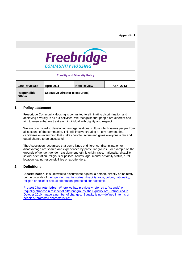### **Appendix 1**



| <b>Equality and Diversity Policy</b> |                                       |                    |                   |  |  |  |  |
|--------------------------------------|---------------------------------------|--------------------|-------------------|--|--|--|--|
| <b>Last Reviewed</b>                 | <b>April 2011</b>                     | <b>Next Review</b> | <b>April 2013</b> |  |  |  |  |
| <b>Responsible</b><br><b>Officer</b> | <b>Executive Director (Resources)</b> |                    |                   |  |  |  |  |

### **1. Policy statement**

Freebridge Community Housing is committed to eliminating discrimination and achieving diversity in all our activities. We recognise that people are different and aim to ensure that we treat each individual with dignity and respect.

We are committed to developing an organisational culture which values people from all sections of the community. This will involve creating an environment that capitalises on everything that makes people unique and gives everyone a fair and equal chance to be successful.

The Association recognises that some kinds of difference, discrimination or disadvantage are shared and experienced by particular groups. For example on the grounds of gender, gender reassignment, ethnic origin, race, nationality, disability, sexual orientation, religious or political beliefs, age, marital or family status, rural location, caring responsibilities or ex-offenders.

## **2. Definitions**

**Discrimination.** It is unlawful to discriminate against a person, directly or indirectly on the grounds of their gender, marital status, disability, race, colour, nationality, religion or belief or sexual orientation. protected characteristic.

**Protect Characteristics**. Where we had previously referred to "strands" or "equality strands" in respect of different groups, the Equality Act - introduced in October 2010 - made a number of changes. Equality is now defined in terms of people's "protected characteristics".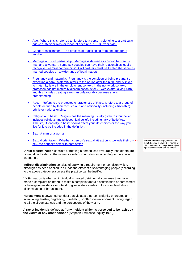- Age. Where this is referred to, it refers to a person belonging to a particular age (e.g. 32 year olds) or range of ages (e.g. 18 - 30 year olds).
- Gender reassignment. The process of transitioning from one gender to another.
- Marriage and civil partnership. Marriage is defined as a 'union between a man and a woman'. Same-sex couples can have their relationships legally recognised as 'civil partnerships'. Civil partners must be treated the same as married couples on a wide range of legal matters.
- Pregnancy and maternity. Pregnancy is the condition of being pregnant or expecting a baby. Maternity refers to the period after the birth, and is linked to maternity leave in the employment context. In the non-work context, protection against maternity discrimination is for 26 weeks after giving birth, and this includes treating a woman unfavourably because she is breastfeeding.
- Race. Refers to the protected characteristic of Race. It refers to a group of people defined by their race, colour, and nationality (including citizenship) ethnic or national origins.
- Religion and belief. Religion has the meaning usually given to it but belief includes religious and philosophical beliefs including lack of belief (e.g. Atheism). Generally, a belief should affect your life choices or the way you live for it to be included in the definition.
- Sex. A man or a woman.
- Sexual orientation. Whether a person's sexual attraction is towards their own -sex, the opposite sex or to both sexes

**Direct discrimination** consists of treating a person less favourably than others are or would be treated in the same or similar circumstances according to the above categories.

**Indirect discrimination** consists of applying a requirement or condition which, although has been applied to all, has the effect of disadvantaging people (according to the above categories) unless the practice can be justified.

**Victimisation** is when an individual is treated detrimentally because they have made a complaint or intend to make a complaint about discrimination or harassment or have given evidence or intend to give evidence relating to a complaint about discrimination or harassment.

**Harassment** is unwanted conduct that violates a person's dignity or creates an intimidating, hostile, degrading, humiliating or offensive environment having regard to all the circumstances and the perceptions of the victim.

A **racist incident** is defined as **"any incident which is perceived to be racist by the victim or any other person"** (Stephen Lawrence Inquiry 1999).

**Formatted:** Heading 3, Indent: Left: 54 pt, Bulleted + Level: 1 + Aligned at: 18 pt + Indent at: 36 pt, Don't adjust space between Latin and Asian text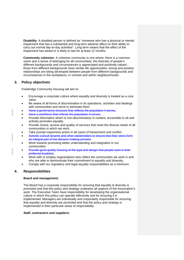**Disability**. A disabled person is defined as "someone who has a physical or mental impairment that has a substantial and long-term adverse affect on their ability to carry out normal day-to-day activities". Long term means that the effect of the impairment has lasted or is likely to last for at least 12 months.

**Community cohesion**. A cohesive community is one where, there is a common vision and a sense of belonging for all communities; the diversity of people's different backgrounds and circumstances is appreciated and positively valued ; those from different backgrounds have similar life opportunities; strong and positive relationships are being developed between people from different backgrounds and circumstances in the workplaces, in schools and within neighbourhoods.

## **3. Policy objectives**

Freebridge Community Housing will aim to:

- Encourage a corporate culture where equality and diversity is treated as a core value.
- Be aware of all forms of discrimination in its operations, activities and dealings with communities and strive to eliminate them.
- Have a governance structure that reflects the population it serves.
- Have a workforce that reflects the population it serves.
- Provide information which is non-discriminatory in content, accessible to all and actively promotes equality.
- Provide choice, access and quality of services that meet the diverse needs of all communities in which we work.
- Take prompt responsive action in all cases of harassment and conflict.
- Actively consult tenants and other stakeholders to ensure that their views form an integral part of the decision making process.
- Work towards promoting better understanding and integration in our communities.
- Provide good quality housing of the type and design that people want in their preferred locations.
- Work with or employ organisations who reflect the communities we work in and who are able to demonstrate their commitment to equality and diversity.
- Comply with our regulatory and legal equality responsibilities as a minimum.

## **4. Responsibilities**

## **Board and management:**

The Board has a corporate responsibility for ensuring that equality & diversity is promoted and that this policy and strategy underpins all aspects of the Association's work. The Executive Team have responsibility for developing the organisational culture in which this policy can operate effectively and for ensuring it is implemented. Managers are individually and corporately responsible for ensuring that equality and diversity are promoted and that the policy and strategy is implemented in their particular areas of responsibility.

#### **Staff, contractors and suppliers:**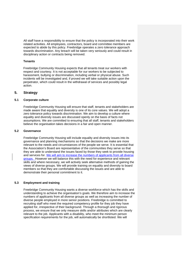All staff have a responsibility to ensure that the policy is incorporated into their work related activities. All employees, contractors, board and committee members are expected to abide by this policy. Freebridge operates a zero tolerance approach towards discrimination. Any breach will be taken very seriously and could result in disciplinary action or contracts being removed.

#### **Tenants**

Freebridge Community Housing expects that all tenants treat our workers with respect and courtesy. It is not acceptable for our workers to be subjected to harassment, bullying or discrimination, including verbal or physical abuse. Such incidents will be investigated and, if proved we will take suitable action upon the perpetrator, which could result in the withdrawal of services and possibly legal action.

## **5. Strategy**

#### **5.1 Corporate culture**

Freebridge Community Housing will ensure that staff, tenants and stakeholders are made aware that equality and diversity is one of its core values. We will adopt a zero tolerance policy towards discrimination. We aim to develop a culture where equality and diversity issues are discussed openly on the basis of facts not assumptions. We are committed to ensuring that all staff, tenants and stakeholders believe the organisation takes decisions in a fair and open manner.

#### **5.2 Governance**

Freebridge Community Housing will include equality and diversity issues into its governance and planning mechanisms so that the decisions we make are more relevant to the needs and circumstances of the people we serve. It is essential that the Association's Board are representative of the communities they serve so that they are able to understand the issues faced by those they seek to provide housing and services for. We will aim to increase the numbers of applicants from all diverse groups. However we will balance this with the need for experience and relevant skills and where necessary, we will actively seek alternative methods of gaining the views of diverse groups. We will provide training on equality and diversity to board members so that they are comfortable discussing the issues and are able to demonstrate their personal commitment to it.

#### **5.3 Employment and training**

Freebridge Community Housing wants a diverse workforce which has the skills and understanding to achieve the organisation's goals. We therefore aim to increase the numbers of applicants from all diverse groups as well as increasing the number of diverse people employed in more senior positions. Freebridge is committed to recruiting staff who meet the required competency profile for they job they have applied for, irrespective of their background. Through a thorough and rigorous process, we ensure that we only measure skills and/or attributes which are clearly relevant to the job. Applicants with a disability, who meet the minimum person specification requirements for the job, will automatically be shortlisted. We will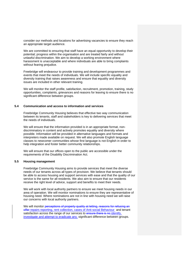consider our methods and locations for advertising vacancies to ensure they reach an appropriate target audience.

We are committed to ensuring that staff have an equal opportunity to develop their potential; progress within the organisation and are treated fairly and without unlawful discrimination. We aim to develop a working environment where harassment is unacceptable and where individuals are able to bring complaints without fearing prejudice.

Freebridge will endeavour to provide training and development programmes and events that meet the needs of individuals. We will include specific equality and diversity training that raises awareness and ensure that equality and diversity issues are included in other relevant training.

We will monitor the staff profile, satisfaction, recruitment, promotion, training, study opportunities, complaints, grievances and reasons for leaving to ensure there is no significant difference between groups.

#### **5.4 Communication and access to information and services**

Freebridge Community Housing believes that effective two way communication between its tenants, staff and stakeholders is key to delivering services that meet the needs of individuals.

We will ensure that the information provided is in an appropriate format, nondiscriminatory in content and actively promotes equality and diversity where possible. Information will be provided in alternative languages and formats and interpreters made available on request. We will also promote English language classes to newcomer communities whose first language is not English in order to help integration and foster better community relationships.

We will ensure that our offices open to the public are accessible under the requirements of the Disability Discrimination Act.

#### **5.5 Housing management**

Freebridge Community Housing aims to provide services that meet the diverse needs of our tenants across all types of provision. We believe that tenants should be able to access housing and support services with ease and that the quality of our service is the same for all residents. We also aim to ensure that our residents receive the right level of advice, support and benefits to meet their needs.

We will work with local authority partners to ensure we meet housing needs in our area of operation. We will monitor nominations to ensure they are representative of housing need. Where nominations are not in line with housing need we will raise our concerns with local authority partners.

We will monitor perceptions of property quality at letting, reasons for refusing an offer repairs reporting, rent collection, cases of Anti-social Behaviour and tenant satisfaction across the range of our services to ensure there is no identify, investigate and attempt to eradicate any significant difference between groups.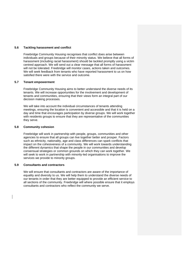### **5.6 Tackling harassment and conflict**

Freebridge Community Housing recognises that conflict does arise between individuals and groups because of their minority status. We believe that all forms of harassment (including racial harassment) should be tackled promptly using a victim centred approach. We will send out a clear message that all forms of harassment will not be tolerated. Freebridge will monitor cases, actions taken and outcomes. We will seek feedback from tenants who have reported harassment to us on how satisfied there were with the service and outcome.

#### **5.7 Tenant empowerment**

Freebridge Community Housing aims to better understand the diverse needs of its tenants. We will increase opportunities for the involvement and development of tenants and communities, ensuring that their views form an integral part of our decision making processes.

We will take into account the individual circumstances of tenants attending meetings, ensuring the location is convenient and accessible and that it is held on a day and time that encourages participation by diverse groups. We will work together with residents groups to ensure that they are representative of the communities they serve.

### **5.8 Community cohesion**

Freebridge will work in partnership with people, groups, communities and other agencies to ensure that all groups can live together better and prosper. Factors such as ethnicity, nationality, age and class differences can spark conflicts that impact on the cohesiveness of a community. We will work towards understanding the different dynamics that shape the people in our communities and develop consensual strategies or common grounds on which they can work together. We will seek to work in partnership with minority-led organisations to improve the services we provide to minority groups.

#### **5.9 Consultants and contractors**

We will ensure that consultants and contractors are aware of the importance of equality and diversity to us. We will help them to understand the diverse needs of our tenants in order that they are better equipped to provide an efficient service to all sections of the community. Freebridge will where possible ensure that it employs consultants and contractors who reflect the community we serve.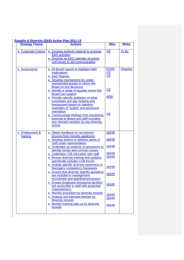| <b>Strategy Theme</b> | <b>Actions</b>                                                                                                                                                                                                                                                                                                                                                                                                                                                                                                                                                          | <b>Who</b>                                         | <b>When</b>    |
|-----------------------|-------------------------------------------------------------------------------------------------------------------------------------------------------------------------------------------------------------------------------------------------------------------------------------------------------------------------------------------------------------------------------------------------------------------------------------------------------------------------------------------------------------------------------------------------------------------------|----------------------------------------------------|----------------|
| • Corporate Culture   | • Develop publicity material to promote<br><b>E&amp;D</b> activities<br>• Develop an E&D calendar of events<br>and issues to aid communication                                                                                                                                                                                                                                                                                                                                                                                                                          | CE                                                 | To do          |
| Governance            | • All Board reports to highlight E&D<br><i>implications</i><br>• E&D Reports<br>• Develop mechanisms for under-<br>represented groups to inform the<br><b>Board on key decisions</b><br>• Identify a range of equality issues the<br><b>Board can support</b><br>• Provide specific guidance on what<br>constitutes anti-gay bullying and<br>harassment based on statutory<br>examples of "outing" and perceived<br>orientation<br>• Communicate findings from monitoring<br>exercise to Board and staff including<br>any relevant variation by any diversity<br>strand | ED(R)<br>CE<br>CE<br>CE<br><b>ADR</b><br><b>CE</b> | <b>Ongoing</b> |
| • Employment &        | · Obtain feedback on recruitment                                                                                                                                                                                                                                                                                                                                                                                                                                                                                                                                        | <b>ADHR</b>                                        |                |
| training              | process from minority applicants<br>• Develop actions to address areas of                                                                                                                                                                                                                                                                                                                                                                                                                                                                                               | <b>ADHR</b>                                        |                |
|                       | staff under-representation<br>• Undertake an analysis of grievances to                                                                                                                                                                                                                                                                                                                                                                                                                                                                                                  | <b>ADHR</b>                                        |                |
|                       | identify trends and common issues<br>• Undertake LGB education with staff<br>• Ensure diversity training and updates<br>specifically includes LGB issues                                                                                                                                                                                                                                                                                                                                                                                                                | <b>ADHR</b><br><b>ADHR</b>                         |                |
|                       | • Include specific diversity awareness in<br><b>Managers competency framework</b>                                                                                                                                                                                                                                                                                                                                                                                                                                                                                       | <b>ADHR</b>                                        |                |
|                       | • Ensure that diversity specific questions<br>are included in management                                                                                                                                                                                                                                                                                                                                                                                                                                                                                                | <b>ADHR</b>                                        |                |
|                       | recruitment and appraisal processes<br><b>Ensure Employee Assistance facilities</b><br>are accessible to staff with protected<br>characteristics.                                                                                                                                                                                                                                                                                                                                                                                                                       | <b>ADHR</b>                                        |                |
|                       | • Monitor promotion by diversity strands<br>• Analyse exit interview themes by<br>diversity strands                                                                                                                                                                                                                                                                                                                                                                                                                                                                     | <b>ADHR</b><br><b>ADHR</b>                         |                |
|                       | • Monitor training take up by diversity<br>strands                                                                                                                                                                                                                                                                                                                                                                                                                                                                                                                      | <b>ADHR</b>                                        |                |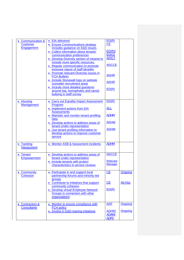| • Communication &<br><b>Customer</b><br><b>Engagement</b>   | • EIA delivered<br>• Ensure Communications strategy<br>includes guidance on E&D issues                                                                                                                                          | ED(R)<br><b>CE</b>                                |                    |
|-------------------------------------------------------------|---------------------------------------------------------------------------------------------------------------------------------------------------------------------------------------------------------------------------------|---------------------------------------------------|--------------------|
|                                                             | • Collect information about tenants'<br>communication preferences<br>• Develop Diversity section of intranet to<br>include more specific resources.<br>• Regular communication to promote<br>inclusive nature of staff benefits | ED(R)/<br>ED(O)<br><b>ADICT</b><br><b>ADCCE</b>   |                    |
|                                                             | • Promote relevant Diversity issues in<br><b>FCH Bulletin</b>                                                                                                                                                                   | <b>ADHR</b>                                       |                    |
|                                                             | • Include Stonewall logo on website<br>(consider recruitment area)                                                                                                                                                              | <b>ADHR</b>                                       |                    |
|                                                             | · Include more detailed questions<br>around (eg. homophobic and racist)<br>bullying in staff survey                                                                                                                             | ED(R)                                             |                    |
| • Housing                                                   | • Carry out Equality Impact Assessment                                                                                                                                                                                          | ED(R)                                             |                    |
| <b>Management</b>                                           | Program<br>• Implement actions from EIA<br><b>Assessments</b>                                                                                                                                                                   | <b>ALL</b>                                        |                    |
|                                                             | • Maintain and monitor tenant profiling<br>data                                                                                                                                                                                 | <b>ADHM</b>                                       |                    |
|                                                             | • Develop actions to address areas of<br>tenant under-representation                                                                                                                                                            | <b>ADHM</b>                                       |                    |
|                                                             | • Use tenant profiling information to<br>develop actions to improve customer<br>service                                                                                                                                         | <b>ADHM</b>                                       |                    |
| • Tackling<br><b>Harassment</b>                             | Monitor ASB & harassment incidents                                                                                                                                                                                              | <b>ADHM</b>                                       |                    |
| • Tenant<br><b>Empowerment</b>                              | • Develop actions to address areas of<br>tenant under-representation<br>• Include tenants with protect<br>characteristics in service reviews                                                                                    | <b>ADCCE</b><br><b>Relevant</b><br><b>Manager</b> |                    |
| • Community<br><b>Cohesion</b>                              | • Participate in and support local<br>partnership forums and minority led<br>groups                                                                                                                                             | <b>CE</b>                                         | Ongoing            |
|                                                             | • Contribute to initiatives that support<br>community cohesion<br>• Develop virtual Employee Network                                                                                                                            | <b>CE</b><br>ED(R)                                | Ad Hoc             |
|                                                             | Groups in connection with other<br>organisations                                                                                                                                                                                |                                                   |                    |
| <b>Contractors &amp;</b><br>$\bullet$<br><b>Consultants</b> | • Monitor to ensure compliance with<br><b>FCH policy</b><br>• Involve in E&D training initiatives                                                                                                                               | <b>ADF</b><br><b>ADHR/</b>                        | Ongoing<br>Ongoing |
|                                                             |                                                                                                                                                                                                                                 | ADAM/<br><b>ADPS</b>                              |                    |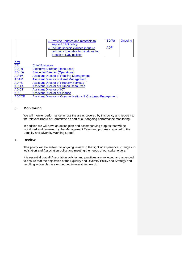| • Provide updates and materials to<br>support E&D policy<br>• Include specific clauses in future | ED(R)<br><b>ADF</b> | Ongoing |
|--------------------------------------------------------------------------------------------------|---------------------|---------|
| contracts to enable terminations for<br>breach of E&D policies                                   |                     |         |

**Key**

| <u>.</u>     |                                                            |
|--------------|------------------------------------------------------------|
| CE           | <b>Chief Executive</b>                                     |
| ED(R)        | <b>Executive Director (Resources)</b>                      |
| ED(0)        | <b>Executive Director (Operations)</b>                     |
| <b>ADHM</b>  | <b>Assistant Director of Housing Management</b>            |
| <b>ADAM</b>  | <b>Assistant Director of Asset Management</b>              |
| <b>ADPS</b>  | <b>Assistant Director of Property Services</b>             |
| <b>ADHR</b>  | <b>Assistant Director of Human Resources</b>               |
| <b>ADICT</b> | <b>Assistant Director of ICT</b>                           |
| <b>ADF</b>   | <b>Assistant Director of Finance</b>                       |
| <b>ADCCE</b> | Assistant Director of Communications & Customer Engagement |
|              |                                                            |

## **6. Monitoring**

We will monitor performance across the areas covered by this policy and report it to the relevant Board or Committee as part of our ongoing performance monitoring.

In addition we will have an action plan and accompanying outputs that will be monitored and reviewed by the Management Team and progress reported to the Equality and Diversity Working Group.

## **7. Review**

This policy will be subject to ongoing review in the light of experience, changes in legislation and Association policy and meeting the needs of our stakeholders.

It is essential that all Association policies and practices are reviewed and amended to ensure that the objectives of the Equality and Diversity Policy and Strategy and resulting action plan are embedded in everything we do.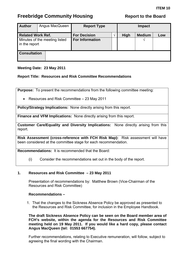<span id="page-29-0"></span>

| <b>Author</b>                                  | Angus MacQueen | <b>Report Type</b>     |    | <b>Impact</b> |               |     |
|------------------------------------------------|----------------|------------------------|----|---------------|---------------|-----|
| <b>Related Work Ref.</b>                       |                | <b>For Decision</b>    | ٦ι | <b>High</b>   | <b>Medium</b> | Low |
| Minutes of the meeting listed<br>in the report |                | <b>For Information</b> |    |               | $\mathcal{N}$ |     |
| <b>Consultation</b>                            |                |                        |    |               |               |     |

## **Meeting Date: 23 May 2011**

## **Report Title: Resources and Risk Committee Recommendations**

**Purpose:** To present the recommendations from the following committee meeting:

• Resources and Risk Committee – 23 May 2011

**Policy/Strategy Implications:** None directly arising from this report.

**Finance and VFM Implications:** None directly arising from this report.

**Customer Care/Equality and Diversity Implications:** None directly arising from this report.

**Risk Assessment (cross-reference with FCH Risk Map):** Risk assessment will have been considered at the committee stage for each recommendation.

**Recommendations:** It is recommended that the Board:

(i) Consider the recommendations set out in the body of the report.

## **1. Resources and Risk Committee – 23 May 2011**

Presentation of recommendations by: Matthew Brown (Vice-Chairman of the Resources and Risk Committee)

## **Recommendations –**

1. That the changes to the Sickness Absence Policy be approved as presented to the Resources and Risk Committee, for inclusion in the Employee Handbook.

**The draft Sickness Absence Policy can be seen on the Board member area of FCH's website, within the agenda for the Resources and Risk Committee meeting held on 19 May 2011. If you would like a hard copy, please contact Angus MacQueen (tel: 01553 667754).** 

Further recommendations, relating to Executive remuneration, will follow, subject to agreeing the final wording with the Chairman.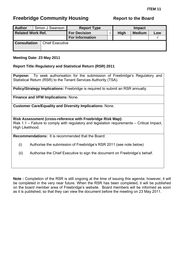<span id="page-30-0"></span>

| <b>Author</b>            |  | Simon J Swanson        | <b>Report Type</b>     | <b>Impact</b> |             |               |     |  |
|--------------------------|--|------------------------|------------------------|---------------|-------------|---------------|-----|--|
| <b>Related Work Ref.</b> |  |                        | <b>For Decision</b>    |               | <b>High</b> | <b>Medium</b> | Low |  |
|                          |  |                        | <b>For Information</b> |               |             |               |     |  |
| <b>Consultation</b>      |  | <b>Chief Executive</b> |                        |               |             |               |     |  |

## **Meeting Date: 23 May 2011**

## **Report Title: Regulatory and Statistical Return (RSR) 2011**

**Purpose:** To seek authorisation for the submission of Freebridge's Regulatory and Statistical Return (RSR) to the Tenant Services Authority (TSA).

**Policy/Strategy Implications:** Freebridge is required to submit an RSR annually.

**Finance and VFM Implications:** None.

**Customer Care/Equality and Diversity Implications:** None.

**Risk Assessment (cross-reference with Freebridge Risk Map):**  Risk 1.1 – Failure to comply with regulatory and legislation requirements – Critical Impact, High Likelihood.

**Recommendations:** It is recommended that the Board:

- (i) Authorise the submission of Freebridge's RSR 2011 (see note below)
- (ii) Authorise the Chief Executive to sign the document on Freebridge's behalf.

**Note :** Completion of the RSR is still ongoing at the time of issuing this agenda; however, it will be completed in the very near future. When the RSR has been completed, it will be published on the board member area of Freebridge's website. Board members will be informed as soon as it is published, so that they can view the document before the meeting on 23 May 2011.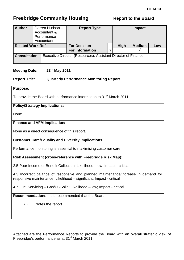<span id="page-31-0"></span>

| <b>Author</b>            |  | Darren Hudson -<br>Accountant &<br>Performance<br>Accountant | <b>Report Type</b>                                             | <b>Impact</b> |             |               |     |
|--------------------------|--|--------------------------------------------------------------|----------------------------------------------------------------|---------------|-------------|---------------|-----|
| <b>Related Work Ref.</b> |  |                                                              | <b>For Decision</b>                                            |               | <b>High</b> | <b>Medium</b> | Low |
|                          |  |                                                              | <b>For Information</b>                                         |               |             |               |     |
| <b>Consultation</b>      |  |                                                              | Executive Director (Resources), Assistant Director of Finance. |               |             |               |     |

## **Meeting Date: 23rd May 2011**

## **Report Title: Quarterly Performance Monitoring Report**

## **Purpose:**

To provide the Board with performance information to 31<sup>st</sup> March 2011.

## **Policy/Strategy Implications:**

None

## **Finance and VFM Implications:**

None as a direct consequence of this report.

## **Customer Care/Equality and Diversity Implications:**

Performance monitoring is essential to maximising customer care.

## **Risk Assessment (cross-reference with Freebridge Risk Map):**

2.5 Poor Income or Benefit Collection: Likelihood - low; Impact - critical

4.3 Incorrect balance of responsive and planned maintenance/Increase in demand for responsive maintenance: Likelihood – significant; Impact - critical

4.7 Fuel Servicing – Gas/Oil/Solid: Likelihood – low; Impact - critical

**Recommendations:** It is recommended that the Board:

(i) Notes the report.

Attached are the Performance Reports to provide the Board with an overall strategic view of Freebridge's performance as at 31<sup>st</sup> March 2011.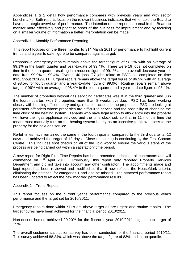Appendices 1 & 2 detail how performance compares with previous years and with sector benchmarks. Both reports focus on the relevant business indicators that will enable the Board to have a strategic overview of performance. The intention of the report is to enable the Board to monitor more effectively and prioritise areas of the business for improvement and by focusing on a smaller volume of information a better interpretation can be made.

Appendix 1 – Monthly Performance Reporting.

This report focuses on the three months to 31<sup>st</sup> March 2011 of performance to highlight current trends and a year to date figure to be compared against target.

Responsive emergency repairs remain above the target figure of 98.5% with an average of 99.1% in the fourth quarter and year-to-date of 99.4%. There were 19 jobs not completed on time in the fourth quarter resulting in a reduced figure of 99.1% and an overall decrease year-todate from 99.9% to 99.4%. Overall, 40 jobs (27 jobs relate to PSD) not completed on time throughout 2010/2011. Urgent repairs remain above the target figure of 96.5% with an average of 98.5% for fourth quarter and a year-to-date figure of 99.0%. Routine repairs remain above target of 96% with an average of 98.4% in the fourth quarter and a year-to-date figure of 98.4%.

The number of properties without gas servicing certificates was 8 in the third quarter and 8 in the fourth quarter; with 7 properties more than 8 weeks overdue. PSD has been working closely with housing officers to try and gain earlier access to the properties. PSD are looking at persistent offenders whose properties are difficult to service and the possibility of changing the time clock of the heating system. Tenants who have legal action to allow entry into the property will have their gas appliance serviced and the time clock set, so that in 11 months time the tenant must manually turn on the heating system hourly as an incentive to allow access to the property for the next gas service.

Re-let times have remained the same in the fourth quarter compared to the third quarter at 12 days and achieved the target of 12 days. Close monitoring is continuing by the First Contact Centre. This includes spot checks on all of the void work to ensure the various steps of the process are being carried out within a satisfactory time period.

A new report for Right First Time Repairs has been amended to include all contractors and will commence on 1<sup>st</sup> April 2011. Previously, this report only reported Property Services Department and did not take into account any other contractor. The appointments made and kept report has been reviewed and modified so that it now reflects the HouseMark criteria, eliminating the potential for categories 1 and 2 to be missed. The attached performance report has been updated to reflect the new modified performance results.

## Appendix 2 – Trend Report

This report focuses on the current year's performance compared to the previous year's performance and the target set for 2010/2011.

Emergency repairs done within KPI's are above target as are urgent and routine repairs. The target figures have been achieved for the financial period 2010/2011.

Non-decent homes achieved 20.20% for the financial year 2010/2011, higher than target of 15%.

The overall customer satisfaction survey has been conducted for the financial period 2010/11. This survey achieved 88.24% which was above the target figure of 83% and in top quartile.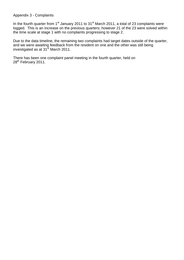Appendix 3 - Complaints

In the fourth quarter from  $1<sup>st</sup>$  January 2011 to  $31<sup>st</sup>$  March 2011, a total of 23 complaints were logged. This is an increase on the previous quarters; however 21 of the 23 were solved within the time scale at stage 1 with no complaints progressing to stage 2.

Due to the data timeline, the remaining two complaints had target dates outside of the quarter, and we were awaiting feedback from the resident on one and the other was still being investigated as at  $31<sup>st</sup>$  March 2011.

There has been one complaint panel meeting in the fourth quarter, held on 28<sup>th</sup> February 2011.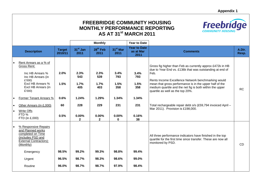## **FREEBRIDGE COMMUNITY HOUSING MONTHLY PERFORMANCE REPORTING AS AT 31st MARCH 2011**



|     |                                                                                                                                                                                                                                                       |                                    | <b>Monthly</b>                                                         |                                                                       | <b>Year to Date</b>                                                    |                                                           |                                                                                                                                                                                                                                                                                                                                                                                                                                                     |                 |
|-----|-------------------------------------------------------------------------------------------------------------------------------------------------------------------------------------------------------------------------------------------------------|------------------------------------|------------------------------------------------------------------------|-----------------------------------------------------------------------|------------------------------------------------------------------------|-----------------------------------------------------------|-----------------------------------------------------------------------------------------------------------------------------------------------------------------------------------------------------------------------------------------------------------------------------------------------------------------------------------------------------------------------------------------------------------------------------------------------------|-----------------|
|     | <b>Description</b>                                                                                                                                                                                                                                    | <b>Target</b><br>2010/11           | $31st$ Jan<br>2011                                                     | 28 <sup>th</sup> Feb<br>2011                                          | 31 <sup>st</sup> Mar<br>2011                                           | <b>Year to Date</b><br>as at Mar<br>2011                  | <b>Comments</b>                                                                                                                                                                                                                                                                                                                                                                                                                                     | A.Dir.<br>Resp. |
| ∣•  | Rent Arrears as a % of<br>Gross Rent:<br>Inc HB Arrears %<br>Inc HB Arrears (in<br>£'000)<br>Excl HB Arrears %<br>Excl HB Arrears (in<br>£'000)<br>Former Tenant Arrears %<br>Other Arrears (in £,000)<br><b>Write Offs</b><br>FTD%<br>FTD (in £,000) | 2.0%<br>1.5%<br>0.6%<br>60<br>0.5% | 2.3%<br>543<br>1.7%<br>405<br>1.24%<br>228<br>$0.00\%$<br>$\mathbf{2}$ | 2.3%<br>539<br>1.7%<br>403<br>1.29%<br>229<br>$0.00\%$<br>$\mathbf 2$ | 3.4%<br>793<br>1.5%<br>358<br>1.34%<br>231<br>$0.00\%$<br>$\mathbf{0}$ | 3.4%<br>793<br>1.5%<br>358<br>1.34%<br>231<br>0.16%<br>38 | Gross fig higher than Feb as currently approx £472k in HB<br>due to Year End vs. £136k that was outstanding at end of<br>Feb.<br>Rents Income Excellence Network benchmarking would<br>mean that gross performance is in the upper half of the<br>medium quartile and the net fig is both within the upper<br>quartile as well as the top 20%.<br>Total rechargeable repair debt o/s (£59,794 invoiced April -<br>Mar 2011). Provision is £198,000. | <b>RC</b>       |
| ه ا | % Responsive Repairs<br>and Planned works<br>completed on Time<br>(includes PSD and<br>External Contractors):<br>(Monthly)<br>Emergency<br>Urgent<br>Routine                                                                                          | 98.5%<br>96.5%<br>96.0%            | 99.2%<br>98.7%<br>98.7%                                                | 99.3%<br>98.3%<br>98.7%                                               | 98.8%<br>98.6%<br>97.9%                                                | 99.4%<br>99.0%<br>98.4%                                   | All three performance indicators have finished in the top<br>quartile for the first time since transfer. These are now all<br>monitored by PSD.                                                                                                                                                                                                                                                                                                     | <b>CD</b>       |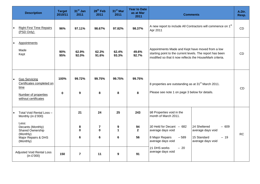| A new report to include All Contractors will commence on 1 <sup>st</sup><br><b>Right First Time Repairs</b><br>96%<br>97.11%<br>98.67%<br>97.82%<br>98.37%<br>Apr 2011<br>(PSD Only)<br><b>Appointments</b><br>Appointments Made and Kept have moved from a low<br>Made<br>90%<br>62.9%<br>62.3%<br>62.4%<br>49.6%<br>starting point to the current levels. The report has been<br>Kept<br>95%<br>92.0%<br>91.6%<br>93.3%<br>92.7%<br>modified so that it now reflects the HouseMark criteria.<br>100%<br>99.75%<br>99.75%<br>99.72%<br>99.75%<br><b>Gas Servicing</b><br>Certificates completed on<br>8 properties are outstanding as at 31 <sup>st</sup> March 2011.<br>time<br>Please see note 1 on page 3 below for details.<br>9<br>8<br>8<br>8<br>$\mathbf 0$<br>Number of properties<br>without certificates<br>21<br>24<br>25<br>243<br>98 Properties void in the<br>Total Void Rental Loss -<br>month of March 2011.<br>Monthly (in £'000)<br>Less:<br>30 Held for Decant $-682$<br>24 Sheltered<br>8<br>$\overline{7}$<br>9<br>94<br>$-609$<br>Decants (Monthly)<br>$\mathbf 0$<br>$\mathbf{0}$<br>$\mathbf 1$<br>$\mathbf{2}$<br>Shared Ownership<br>average days void<br>average days void<br>(Monthly)<br>$6\phantom{1}$<br>$6\phantom{1}$<br>56<br>15 Standard<br>6<br>8 Major Repairs<br>$-589$<br>$-19$<br>Major Repairs & DHS<br>average days void<br>(Monthly)<br>average days void | <b>Description</b> | <b>Target</b><br>2010/11 | 31 <sup>st</sup> Jan<br>2011 | 28 <sup>th</sup> Feb<br>2011 | 31 <sup>st</sup> Mar<br>2011 | <b>Year to Date</b><br>as at Mar<br>2011 | <b>Comments</b>       |  | A.Dir.<br>Resp. |
|-------------------------------------------------------------------------------------------------------------------------------------------------------------------------------------------------------------------------------------------------------------------------------------------------------------------------------------------------------------------------------------------------------------------------------------------------------------------------------------------------------------------------------------------------------------------------------------------------------------------------------------------------------------------------------------------------------------------------------------------------------------------------------------------------------------------------------------------------------------------------------------------------------------------------------------------------------------------------------------------------------------------------------------------------------------------------------------------------------------------------------------------------------------------------------------------------------------------------------------------------------------------------------------------------------------------------------------------------------------------------------------------------------|--------------------|--------------------------|------------------------------|------------------------------|------------------------------|------------------------------------------|-----------------------|--|-----------------|
|                                                                                                                                                                                                                                                                                                                                                                                                                                                                                                                                                                                                                                                                                                                                                                                                                                                                                                                                                                                                                                                                                                                                                                                                                                                                                                                                                                                                       |                    |                          |                              |                              |                              |                                          |                       |  | <b>CD</b>       |
|                                                                                                                                                                                                                                                                                                                                                                                                                                                                                                                                                                                                                                                                                                                                                                                                                                                                                                                                                                                                                                                                                                                                                                                                                                                                                                                                                                                                       |                    |                          |                              |                              |                              |                                          |                       |  | CD              |
|                                                                                                                                                                                                                                                                                                                                                                                                                                                                                                                                                                                                                                                                                                                                                                                                                                                                                                                                                                                                                                                                                                                                                                                                                                                                                                                                                                                                       |                    |                          |                              |                              |                              |                                          |                       |  | CD              |
| average days void<br><b>Adjusted Void Rental Loss</b><br>$\overline{7}$<br>9<br>150<br>11<br>91<br>(in $£'000$ )                                                                                                                                                                                                                                                                                                                                                                                                                                                                                                                                                                                                                                                                                                                                                                                                                                                                                                                                                                                                                                                                                                                                                                                                                                                                                      |                    |                          |                              |                              |                              |                                          | 21 DHS works<br>$-20$ |  | <b>RC</b>       |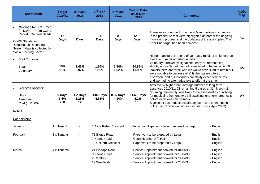| <b>Description</b>                                                                                                                                                                        | <b>Target</b><br>2010/11 | 31 <sup>st</sup> Jan<br>2011 | $28th$ Feb<br>2011             | 31 <sup>st</sup> Mar<br>2011   | <b>Year to Date</b><br>as at Mar<br>2011 | <b>Comments</b>                                                                                                                                                                                                                                                                                                                                                                                                                                                                | A.Dir.<br>Resp. |
|-------------------------------------------------------------------------------------------------------------------------------------------------------------------------------------------|--------------------------|------------------------------|--------------------------------|--------------------------------|------------------------------------------|--------------------------------------------------------------------------------------------------------------------------------------------------------------------------------------------------------------------------------------------------------------------------------------------------------------------------------------------------------------------------------------------------------------------------------------------------------------------------------|-----------------|
| "Average Re- Let Times":<br>(In Days) - From CORE<br>Report. (General Needs)<br><b>CORE Stands for</b><br>"Continuous Recording<br>System" data is collected by<br>Social Housing Sector. | 12<br><b>Days</b>        | 11<br><b>Days</b>            | 14<br><b>Days</b>              | 8<br><b>Days</b>               | 12<br><b>Days</b>                        | There was strong performance in March following changes<br>in the procedure that were highlighted as part of the ongoing<br>monitoring process and the updating of the action plan. The<br>Year End target has been achieved.                                                                                                                                                                                                                                                  | <b>RC</b>       |
| <b>Staff Turnover</b><br>Total<br>Voluntary                                                                                                                                               | 15%<br>11%               | 1.46%<br>0.97%               | 1.95%<br>1.95%                 | 2.54%<br>1.52%                 | 20.86%<br>11.92%                         | Higher than 'target' to end of year as a result of a higher than<br>average number of redundancies.<br>Voluntary turnover (resignations, early retirements etc)<br>slightly above 'target' but not considered to be an issue. Of<br>leavers there are three who we would have liked to retain but<br>were not able to because of a) higher salary offered<br>elsewhere and b) individuals capability exceeded the role<br>and we had no alternative role to offer at the time. | <b>JW</b>       |
| <b>Sickness Absence</b><br>Days<br><b>Time Lost</b><br>Cost (in £'000)                                                                                                                    | 9 Days<br>3.6%<br>238    | 1.2 Days<br>5.28%<br>$12 \,$ | <b>1.02 Days</b><br>4.65%<br>8 | <b>0.95 Days</b><br>4.14%<br>5 | <b>11.51 Days</b><br>4.2%<br>116         | Affected by higher than average number of long-term<br>absences 2010/11. Of remaining 5 cases at 31 <sup>st</sup> March, 2<br>returning imminently, one likely to be assessed as qualifying<br>for medical retirement, two still awaiting long-term prognosis<br>before decisions can be made.<br>Significant cost reductions already seen due to change in<br>policy (first 3 days unpaid for new staff since April 2009).                                                    | JW              |

Not e 1:

#### <u>Gas Servicing</u>

| January  | 1 x Tenant  | $\overline{\phantom{a}}$ | Alice Fisher Crescent                                         | - Injunction Paperwork being prepared by Legal                                                                                                                                   | - English                                        |
|----------|-------------|--------------------------|---------------------------------------------------------------|----------------------------------------------------------------------------------------------------------------------------------------------------------------------------------|--------------------------------------------------|
| February | 3 x Tenants | ٠                        | 71 Bagge Road<br>7 Keene Road<br>12 Chiltern Crescent         | - Paperwork to be prepared by Legal<br>- Court Hearing 14/04/11<br>- Paperwork to be prepared by Legal                                                                           | - English<br>- English<br>- English              |
| March    | 4 x Tenants | $\blacksquare$           | 24 Bishops Road<br>3 Keene Road<br>2 Camfrey<br>29 Westfields | - Service Appointment booked for 04/05/11<br>- Service Appointment booked for 13/04/11<br>- Service Appointment booked for 14/04/11<br>- Service Appointment booked for 20/04/11 | - English<br>- English<br>- English<br>- English |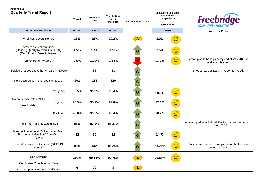## **Appendix 2**

| <b>Quarterly Trend Report</b>                                                                      | <b>Year to Date</b><br><b>Previous</b><br>as at<br><b>Target</b><br>Year<br><b>Improvement Trend</b><br>Mar 2011 |         | <b>Comparisons</b> | 2008/09 House Mark<br><b>Benchmark</b> | <b>Freebridge</b> |                                                                                 |                                                                                       |
|----------------------------------------------------------------------------------------------------|------------------------------------------------------------------------------------------------------------------|---------|--------------------|----------------------------------------|-------------------|---------------------------------------------------------------------------------|---------------------------------------------------------------------------------------|
|                                                                                                    |                                                                                                                  |         |                    |                                        |                   | <b>QUARTILE</b>                                                                 |                                                                                       |
| <b>Performance Indicator</b>                                                                       | 2010/11                                                                                                          | 2009/10 | 2010/11            |                                        |                   | <b>UPPER</b>                                                                    | <b>Actions Only</b>                                                                   |
| % of Non-Decent Homes                                                                              | 15%                                                                                                              | 28%     | 20.2%              |                                        | 2.0%              | $\widehat{\mathbf{u}}\cdot\widehat{\mathbf{u}}$<br>$\overline{\phantom{1}}$     |                                                                                       |
| Arrears as % of rent debit<br>(Housing Quality Network GNPI 134)<br>(Excl Housing Benefit Arrears) | 1.5%                                                                                                             | 1.4%    | 1.5%               | G                                      | 2.5%              | $\widehat{\bullet}$ $\widehat{\bullet}$                                         |                                                                                       |
| Former Tenant Arrears %                                                                            | 0.6%                                                                                                             | 1.09%   | 1.34%              |                                        | 0.73%             | $\widehat{v}$ $\widehat{v}$<br>$\overline{\phantom{m}}$                         | Action plan to be in place by end of May 2011 to<br>address this area.                |
| Service Charges and Other Arrears (in £,000)                                                       | $\blacksquare$                                                                                                   | 55      | 51                 | G                                      | $\blacksquare$    |                                                                                 | Shop arrears of £22,347 to be monitored.                                              |
| Rent Loss Voids + Bad Debts (in £,000)                                                             | 292                                                                                                              | 285     | 129                | G                                      | $\blacksquare$    |                                                                                 |                                                                                       |
| Emergency                                                                                          | 98.5%                                                                                                            | 99.3%   | 99.4%              | G                                      | 99.3%             | $\boxed{\mathbf{0} \ \mathbf{0}}$                                               |                                                                                       |
| % repairs done within KPI's<br>Urgent<br>(Year to date)                                            | 96.5%                                                                                                            | 95.2%   | 99.0%              | G                                      | 97.6%             | $\hat{Q}$                                                                       |                                                                                       |
| Routine                                                                                            | 96.0%                                                                                                            | 93.5%   | 98.4%              | G                                      | 98.2%             | $\widehat{\theta}$                                                              |                                                                                       |
| Right First Time Repairs (PSD)                                                                     | 96%                                                                                                              | 97.3%   | 98.37%             | G                                      | $\blacksquare$    |                                                                                 | A new report to include All Contractors will commence<br>on 1 <sup>st</sup> Apr 2011. |
| Average time to re-let (GN excluding Major<br>Repairs and New Lets) from Core<br>(Days)            | 12                                                                                                               | 30      | 12                 | G                                      | 24.73             | $\widehat{\bullet}$ $\widehat{\bullet}$                                         |                                                                                       |
| Overall customer satisfaction (STATUS<br>Survey)                                                   | 83%                                                                                                              | N/A     | 88.24%             | G                                      | 88.24%            | $\hat{Q}$                                                                       | Survey has now been completed for the financial<br>period 2010/11.                    |
| <b>Gas Servicing</b><br>Certificates Completed on Time                                             | 100%                                                                                                             | 99.15%  | 99.75%             |                                        | 99.88%            | $\widehat{\mathbf{v}}\parallel\widehat{\mathbf{v}}$<br>$\overline{\phantom{0}}$ |                                                                                       |
| No of Properties without Certificates                                                              | 0                                                                                                                | 27      | 8                  | A.                                     |                   |                                                                                 |                                                                                       |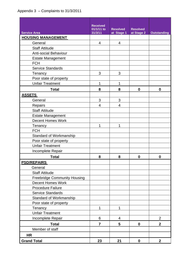|                                     | <b>Received</b> |                 |                 |                    |
|-------------------------------------|-----------------|-----------------|-----------------|--------------------|
|                                     | 01/1/11 to      | <b>Resolved</b> | <b>Resolved</b> |                    |
| <b>Service Area</b>                 | 31/3/11         | at Stage 1      | at Stage 2      | <b>Outstanding</b> |
| <b>HOUSING MANAGEMENT</b>           |                 |                 |                 |                    |
| General                             | 4               | 4               |                 |                    |
| <b>Staff Attitude</b>               |                 |                 |                 |                    |
| <b>Anti-social Behaviour</b>        |                 |                 |                 |                    |
| <b>Estate Management</b>            |                 |                 |                 |                    |
| <b>FCH</b>                          |                 |                 |                 |                    |
| <b>Service Standards</b>            |                 |                 |                 |                    |
| Tenancy                             | 3               | 3               |                 |                    |
| Poor state of property              |                 |                 |                 |                    |
| <b>Unfair Treatment</b>             | 1               | 1               |                 |                    |
| <b>Total</b>                        | 8               | 8               | $\bf{0}$        | $\mathbf{0}$       |
| <b>ASSETS</b>                       |                 |                 |                 |                    |
| General                             | 3               | 3               |                 |                    |
| Repairs                             | 4               | 4               |                 |                    |
| <b>Staff Attitude</b>               |                 |                 |                 |                    |
| <b>Estate Management</b>            |                 |                 |                 |                    |
| <b>Decent Homes Work</b>            |                 |                 |                 |                    |
| Tenancy                             | 1               | 1               |                 |                    |
| <b>FCH</b>                          |                 |                 |                 |                    |
| Standard of Workmanship             |                 |                 |                 |                    |
| Poor state of property              |                 |                 |                 |                    |
| <b>Unfair Treatment</b>             |                 |                 |                 |                    |
| Incomplete Repair                   |                 |                 |                 |                    |
| <b>Total</b>                        | 8               | 8               | 0               | 0                  |
| <b>PSD/REPAIRS</b>                  |                 |                 |                 |                    |
| General                             |                 |                 |                 |                    |
| <b>Staff Attitude</b>               |                 |                 |                 |                    |
| <b>Freebridge Community Housing</b> |                 |                 |                 |                    |
| <b>Decent Homes Work</b>            |                 |                 |                 |                    |
| <b>Procedure Failure</b>            |                 |                 |                 |                    |
| <b>Service Standards</b>            |                 |                 |                 |                    |
| <b>Standard of Workmanship</b>      |                 |                 |                 |                    |
| Poor state of property              |                 |                 |                 |                    |
| Tenancy                             | 1               | 1               |                 |                    |
| <b>Unfair Treatment</b>             |                 |                 |                 |                    |
| Incomplete Repair                   | 6               | 4               |                 | $\overline{2}$     |
| <b>Total</b>                        | $\overline{7}$  | 5               | $\mathbf 0$     | $\overline{2}$     |
| Member of staff                     |                 |                 |                 |                    |
| <b>HR</b>                           |                 |                 |                 |                    |
| <b>Grand Total</b>                  | 23              | 21              | $\mathbf 0$     | $\overline{2}$     |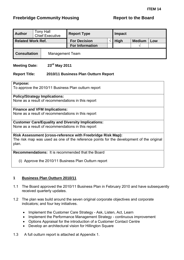<span id="page-40-0"></span>

| <b>Author</b>            |  | <b>Tony Hall</b><br><b>Chief Executive</b> | <b>Report Type</b>     | Impact |             |                   |     |  |
|--------------------------|--|--------------------------------------------|------------------------|--------|-------------|-------------------|-----|--|
| <b>Related Work Ref.</b> |  |                                            | <b>For Decision</b>    |        | <b>High</b> | <b>Medium</b>     | Low |  |
|                          |  |                                            | <b>For Information</b> |        |             | $\mathbf \Lambda$ |     |  |
| <b>Consultation</b>      |  | <b>Management Team</b>                     |                        |        |             |                   |     |  |

## **Meeting Date: 23rd May 2011**

## **Report Title: 2010/11 Business Plan Outturn Report**

## **Purpose:**

To approve the 2010/11 Business Plan outturn report

## **Policy/Strategy Implications:**

None as a result of recommendations in this report

## **Finance and VFM Implications:**

None as a result of recommendations in this report

## **Customer Care/Equality and Diversity Implications:**

None as a result of recommendations in this report

**Risk Assessment (cross-reference with Freebridge Risk Map):**  The risk map was used as one of the reference points for the development of the original plan.

## **Recommendations:** It is recommended that the Board

(i) Approve the 2010/11 Business Plan Outturn report

## **1 Business Plan Outturn 2010/11**

- 1.1 The Board approved the 2010/11 Business Plan in February 2010 and have subsequently received quarterly updates.
- 1.2 The plan was build around the seven original corporate objectives and corporate indicators; and four key initiatives.
	- Implement the Customer Care Strategy Ask, Listen, Act, Learn
	- Implement the Performance Management Strategy continuous improvement
	- Options Appraisal for the introduction of a Customer Contact Centre
	- Develop an architectural vision for Hillington Square
- 1.3 A full outturn report is attached at Appendix 1.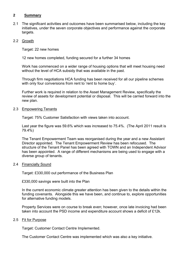## **2 Summary**

2.1 The significant activities and outcomes have been summarised below, including the key initiatives, under the seven corporate objectives and performance against the corporate targets.

## 2.2 Growth

Target: 22 new homes

12 new homes completed, funding secured for a further 34 homes

 Work has commenced on a wider range of housing options that will meet housing need without the level of HCA subsidy that was available in the past.

 Through firm negotiations HCA funding has been received for all our pipeline schemes with only four conversions from rent to 'rent to home buy'.

 Further work is required in relation to the Asset Management Review, specifically the review of assets for development potential or disposal. This will be carried forward into the new plan.

## 2.3 Empowering Tenants

Target: 75% Customer Satisfaction with views taken into account.

 Last year the figure was 59.6% which was increased to 75.4%. (The April 2011 result is 79.4%)

 The Tenant Empowerment Team was reorganised during the year and a new Assistant Director appointed. The Tenant Empowerment Review has been refocused. The structure of the Tenant Panel has been agreed with TOWN and an Independent Advisor has been appointed. A range of different mechanisms are being used to engage with a diverse group of tenants.

## 2.4 Financially Sound

Target: £330,000 out performance of the Business Plan

£330,000 savings were built into the Plan

 In the current economic climate greater attention has been given to the details within the funding covenants. Alongside this we have been, and continue to, explore opportunities for alternative funding models.

 Property Services were on course to break even; however, once late invoicing had been taken into account the PSD income and expenditure account shows a deficit of £12k.

## 2.5 Fit for Purpose

Target: Customer Contact Centre Implemented.

The Customer Contact Centre was implemented which was also a key initiative.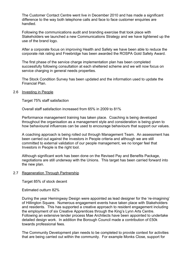The Customer Contact Centre went live in December 2010 and has made a significant difference to the way both telephone calls and face to face customer enquiries are handled.

Following the communications audit and branding exercise that took place with Stakeholders we launched a new Communications Strategy and we have tightened up the use of the brand logo.

After a corporate focus on improving Health and Safety we have been able to reduce the corporate risk rating and Freebridge has been awarded the ROSPA Gold Safety Award.

The first phase of the service charge implementation plan has been completed successfully following consultation at each sheltered scheme and we will now focus on service charging in general needs properties.

The Stock Condition Survey has been updated and the information used to update the Financial Plan.

## 2.6 Investing in People

Target 75% staff satisfaction

Overall staff satisfaction increased from 65% in 2009 to 81%

 Performance management training has taken place. Coaching is being developed throughout the organisation as a management style and consideration is being given to how behavioural influences can be used to encourage behaviours that support our values.

 A coaching approach is being rolled out through Management Team. An assessment has been carried out against the Investors in People criteria and although we are still committed to external validation of our people management, we no longer feel that Investors in People is the right tool.

 Although significant work has been done on the Revised Pay and Benefits Package, negotiations are still underway with the Unions. This target has been carried forward into the new plan.

## 2.7 Regeneration Through Partnership

Target 85% of stock decent

Estimated outturn 82%

 During the year Hemingway Design were appointed as lead designer for the 're-imagining' of Hillington Square. Numerous engagement events have taken place with Stakeholders and residents. This has supported a creative approach to resident engagement including the employment of six Creative Apprentices through the King's Lynn Arts Centre. Following an extensive tender process Mae Architects have been appointed to undertake detailed design work. In addition the Borough Council made a contribution of £50k towards professional fees.

 The Community Development plan needs to be completed to provide context for activities that are being carried out within the community. For example Monks Close, support for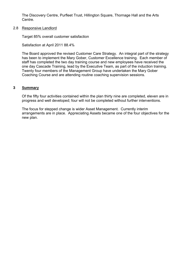The Discovery Centre, Purfleet Trust, Hillington Square, Thornage Hall and the Arts Centre.

2.8 Responsive Landlord

Target 85% overall customer satisfaction

Satisfaction at April 2011 88.4%

 The Board approved the revised Customer Care Strategy. An integral part of the strategy has been to implement the Mary Gober, Customer Excellence training. Each member of staff has completed the two day training course and new employees have received the one day Cascade Training, lead by the Executive Team, as part of the induction training. Twenty four members of the Management Group have undertaken the Mary Gober Coaching Course and are attending routine coaching supervision sessions.

## **3 Summary**

 Of the fifty four activities contained within the plan thirty nine are completed, eleven are in progress and well developed; four will not be completed without further interventions.

 The focus for stepped change is wider Asset Management. Currently interim arrangements are in place. Appreciating Assets became one of the four objectives for the new plan.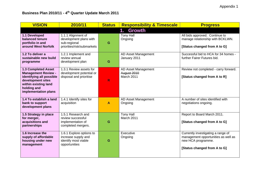| <b>VISION</b>                                                                                                                                                            | 2010/11                                                                                    | <b>Status</b> | <b>Responsibility &amp; Timescale</b>            | <b>Progress</b>                                                                                                                 |
|--------------------------------------------------------------------------------------------------------------------------------------------------------------------------|--------------------------------------------------------------------------------------------|---------------|--------------------------------------------------|---------------------------------------------------------------------------------------------------------------------------------|
|                                                                                                                                                                          |                                                                                            |               | Growth<br>1.                                     |                                                                                                                                 |
| 1.1 Developed<br>balanced tenure<br>portfolio in and<br>around West Norfolk                                                                                              | 1.1.1 Alignment of<br>development plans with<br>sub-regional<br>priorities/risk/submarkets | G             | <b>Tony Hall</b><br>Ongoing                      | All bids approved. Continue to<br>manage relationship with BCKLWN.<br>[Status changed from A to G]                              |
| 1.2 To deliver a<br>sustainable new build<br>programme                                                                                                                   | 1.2.1 Implement and<br>review annual<br>development plan                                   | G             | AD Asset Management<br>January 2011              | Successful bid to HCA for 34 homes -<br>further Fairer Futures bid.                                                             |
| <b>1.3 Completed Asset</b><br><b>Management Review -</b><br>identifying all possible<br>development sites<br>within existing land<br>holding and<br>implementation plans | 1.3.1 Review assets for<br>development potential or<br>disposal and prioritise             | R             | AD Asset Management<br>August 2010<br>March 2011 | Review not completed - carry forward.<br>[Status changed from A to R]                                                           |
| 1.4 To establish a land<br>bank to support<br>development plans                                                                                                          | 1.4.1 Identify sites for<br>acquisition                                                    | A             | AD Asset Management<br>Ongoing                   | A number of sites identified with<br>negotiations ongoing.                                                                      |
| 1.5 Strategy in place<br>for merger,<br>acquisitions and<br>partnerships                                                                                                 | 1.5.1 Research and<br>review successful<br>implementation of<br>completed mergers.         | G             | <b>Tony Hall</b><br>March 2011                   | Report to Board March 2011.<br>[Status changed from A to G]                                                                     |
| 1.6 Increase the<br>supply of affordable<br>housing under new<br>management                                                                                              | 1.6.1 Explore options to<br>increase supply and<br>identify most viable<br>opportunities   | G             | Executive<br>Ongoing                             | Currently investigating a range of<br>management opportunities as well as<br>new HCA programme.<br>[Status changed from A to G] |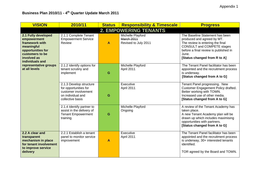| <b>VISION</b>                                                                                                                                | 2010/11                                                                                                           | <b>Status</b> | <b>Responsibility &amp; Timescale</b>                          | <b>Progress</b>                                                                                                                                                                                                          |
|----------------------------------------------------------------------------------------------------------------------------------------------|-------------------------------------------------------------------------------------------------------------------|---------------|----------------------------------------------------------------|--------------------------------------------------------------------------------------------------------------------------------------------------------------------------------------------------------------------------|
|                                                                                                                                              |                                                                                                                   |               | <b>2. EMPOWERING TENANTS</b>                                   |                                                                                                                                                                                                                          |
| 2.1 Fully developed<br>empowerment<br>framework with<br>meaningful<br>opportunities for<br>customers to be<br>involved as<br>individuals and | 2.1.1 Complete Tenant<br><b>Empowerment Service</b><br>Review                                                     | $\mathbf{A}$  | Michelle Playford<br><b>March 2011</b><br>Revised to July 2011 | The Baseline Statement has been<br>produced and agreed by MT.<br>The review is entering the final<br><b>CONSULT and COMPETE stages</b><br>before a final review is published in<br>June.<br>[Status changed from R to A] |
| representative groups<br>at all levels                                                                                                       | 2.1.2 Identify options for<br>tenant scrutiny and<br>implement                                                    | G             | Michelle Playford<br>April 2011                                | The Tenant Panel facilitator has been<br>appointed and the recruitment process<br>is underway.<br>[Status changed from A to G]                                                                                           |
|                                                                                                                                              | 2.1.3 Develop structure<br>for opportunities for<br>customer involvement<br>on individual and<br>collective basis | G             | Executive<br>April 2011                                        | Tenant Panel progressing. New<br>Customer Engagement Policy drafted.<br>Better working with TOWN.<br>Increased use of other media.<br>[Status changed from A to G]                                                       |
|                                                                                                                                              | 2.1.4 Identify partner to<br>assist in the delivery of<br><b>Tenant Empowerment</b><br>training.                  | G             | Michelle Playford<br>Ongoing                                   | A review of the Tenant Academy has<br>taken place.<br>A new Tenant Academy plan will be<br>drawn up which includes maximising<br>opportunities with partners.<br>[Status changed from A to G]                            |
| 2.2 A clear and<br>transparent<br>mechanism in place<br>for tenant involvement<br>to improve service<br>delivery                             | 2.2.1 Establish a tenant<br>panel to monitor service<br>improvement                                               | $\mathbf{A}$  | Executive<br>April 2011                                        | The Tenant Panel facilitator has been<br>appointed and the recruitment process<br>is underway, 30+ interested tenants<br>identified.<br>TOR agreed by the Board and TOWN.                                                |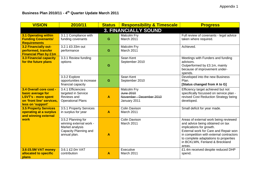| <b>VISION</b>                                                                                                                | 2010/11                                                                                                   | <b>Status</b>           | <b>Responsibility &amp; Timescale</b>                                | <b>Progress</b>                                                                                                                                                                                                                                                                 |
|------------------------------------------------------------------------------------------------------------------------------|-----------------------------------------------------------------------------------------------------------|-------------------------|----------------------------------------------------------------------|---------------------------------------------------------------------------------------------------------------------------------------------------------------------------------------------------------------------------------------------------------------------------------|
|                                                                                                                              |                                                                                                           |                         | <b>3. FINANCIALLY SOUND</b>                                          |                                                                                                                                                                                                                                                                                 |
| <b>3.1 Operating within</b><br><b>Funding Covenants/</b><br><b>Requirements</b>                                              | 3.1.1 Compliance with<br>funding covenants                                                                | G                       | Malcolm Fry<br>March 2011                                            | Full review of covenants - legal advice<br>taken where required.                                                                                                                                                                                                                |
| 3.2 Financially out-<br>performed, transfer<br><b>Financial Plan by £1m</b>                                                  | 3.2.1 £0.33m out<br>performance                                                                           | G                       | Malcolm Fry<br>March 2011                                            | Achieved.                                                                                                                                                                                                                                                                       |
| <b>3.3 Financial capacity</b><br>for the future plans                                                                        | 3.3.1 Review funding<br>options                                                                           | G                       | Sean Kent<br>September 2010                                          | Meetings with Funders and funding<br>advisors.<br>Outperformed by £3.1m, mainly<br>because of improvement under-<br>spends.                                                                                                                                                     |
|                                                                                                                              | 3.3.2 Explore<br>opportunities to increase<br>financial capacity                                          | G                       | Sean Kent<br>September 2010                                          | Developed into the new Business<br>Plan.<br>[Status changed from A to G]                                                                                                                                                                                                        |
| 3.4 Overall core cost -<br>basic average for<br><b>LSVT's - more spent</b><br>on 'front line' services,<br>less on 'support' | 3.4.1 Efficiencies<br>targeted in Service<br>Reviews and<br><b>Operational Plans</b>                      | $\blacktriangle$        | Malcolm Fry<br>June 2010<br>November - December 2010<br>January 2011 | Efficiency target achieved but not<br>specifically focussed on service plan -<br>revised Cost Reduction Strategy being<br>developed.                                                                                                                                            |
| <b>3.5 Property Services</b><br>operating at a surplus<br>and winning external                                               | 3.5.1 Property Services<br>in surplus for year                                                            | $\overline{\mathsf{A}}$ | Colin Davison<br>March 2011                                          | Small deficit for year made.                                                                                                                                                                                                                                                    |
| work                                                                                                                         | 3.5.2 Planning for<br>winning external work -<br>Market analysis<br>Capacity Planning and<br>annual plan. | A                       | <b>Colin Davison</b><br>March 2011                                   | Areas of external work being reviewed<br>and advice being obtained on tax<br>implications for growth.<br>External work for Care and Repair won<br>in competition with external contractors<br>to complete adaptations to properties<br>in BCKLWN, Fenland & Breckland<br>areas. |
| 3.6 £5.5M VAT money<br>allocated to specific<br>plans                                                                        | 3.6.1 £2.0m VAT<br>contribution                                                                           | A                       | Executive<br>March 2011                                              | £1.4m received despite reduced DHP<br>spend.                                                                                                                                                                                                                                    |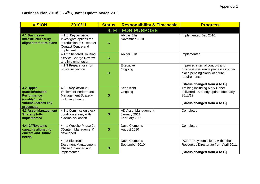| <b>VISION</b>                                                                                           | 2010/11                                                                                                                | <b>Status</b> | <b>Responsibility &amp; Timescale</b>                | <b>Progress</b>                                                                                                                                           |  |  |  |  |
|---------------------------------------------------------------------------------------------------------|------------------------------------------------------------------------------------------------------------------------|---------------|------------------------------------------------------|-----------------------------------------------------------------------------------------------------------------------------------------------------------|--|--|--|--|
| <b>4. FIT FOR PURPOSE</b>                                                                               |                                                                                                                        |               |                                                      |                                                                                                                                                           |  |  |  |  |
| 4.1 Business-<br>infrastructure fully<br>aligned to future plans                                        | 4.1.1 Key initiative:<br>Investigate options for<br>introduction of Customer<br><b>Contact Centre and</b><br>implement | G             | <b>Abigail Ellis</b><br>November 2010                | Implemented Dec 2010.                                                                                                                                     |  |  |  |  |
|                                                                                                         | 4.1.2 Sheltered Housing<br>Service Charge Review<br>and implementation                                                 | G             | <b>Abigail Ellis</b>                                 | Implemented.                                                                                                                                              |  |  |  |  |
|                                                                                                         | 4.1.3 Prepare for short<br>notice inspection.                                                                          | G             | Executive<br>Ongoing                                 | Improved internal controls and<br>business assurance processes put in<br>place pending clarity of future<br>requirements.<br>[Status changed from A to G] |  |  |  |  |
| 4.2 Upper<br>quartile/Beacon<br><b>Performance</b><br>(quality/cost/<br>volume) across key<br>processes | 4.2.1 Key initiative:<br>Implement Performance<br>Management Strategy<br>including training                            | G             | Sean Kent<br>Ongoing                                 | <b>Training including Mary Gober</b><br>delivered. Strategy update due early<br>2011/12.<br>[Status changed from A to G]                                  |  |  |  |  |
| <b>4.3 Asset Management</b><br><b>Strategy fully</b><br>implemented                                     | 4.3.1 Commission stock<br>condition survey with<br>external validation                                                 | G             | AD Asset Management<br>January 2011<br>February 2011 | Completed.                                                                                                                                                |  |  |  |  |
| <b>4.4 ICT/Systems</b><br>capacity aligned to<br>current and future<br>needs                            | 4.4.1 Website Phase 2b<br>(Content Management)<br>developed                                                            | G             | <b>Dave Clements</b><br>August 2010                  | Completed.                                                                                                                                                |  |  |  |  |
|                                                                                                         | 4.4.2 Electronic<br>Document Management<br>Phase 1 planned and<br>implemented                                          | G             | <b>Dave Clements</b><br>September 2010               | POP/PIP system piloted within the<br>Resources Directorate from April 2011.<br>[Status changed from A to G]                                               |  |  |  |  |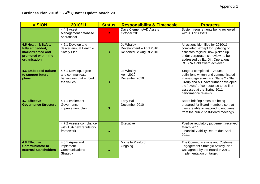| <b>VISION</b>                                                                                     | 2010/11                                                                        | <b>Status</b> | <b>Responsibility &amp; Timescale</b>                            | <b>Progress</b>                                                                                                                                                                                                                                    |
|---------------------------------------------------------------------------------------------------|--------------------------------------------------------------------------------|---------------|------------------------------------------------------------------|----------------------------------------------------------------------------------------------------------------------------------------------------------------------------------------------------------------------------------------------------|
|                                                                                                   | 4.4.3 Asset<br>Management database<br>operational                              | $\mathsf{R}$  | Dave Clements/AD Assets<br>October 2010                          | System requirements being reviewed<br>with AD of Assets.                                                                                                                                                                                           |
| 4.5 Health & Safety<br>fully embedded,<br>mainstreamed and<br>promoted within the<br>organisation | 4.5.1 Develop and<br>deliver annual Health &<br>Safety Plan                    | G             | Jo Whaley<br>Development - April 2010<br>Re-schedule August 2010 | All actions identified for 2010/11<br>completed, except for updating of<br>asbestos register, now picked up<br>under corporate risk review, to be<br>addressed by Ex. Dir. Operations.<br>ROSPA Gold award achieved.                               |
| <b>4.6 Embedded culture</b><br>to support future<br>plans                                         | 4.6.1 Develop, agree<br>and communicate<br>behaviours that embed<br>the values | G             | Jo Whaley<br>April 2010<br>December 2010                         | Stage 1 completed - Values<br>definitions written and communicated<br>in one-page summary. Stage 2 - Staff<br>Group and MT have further developed<br>the 'levels' of competence to be first<br>assessed at the Spring 2011<br>performance reviews. |
| <b>4.7 Effective</b><br><b>Governance Structure</b>                                               | 4.7.1 Implement<br>Governance<br>improvement plan                              | G             | <b>Tony Hall</b><br>December 2010                                | Board briefing notes are being<br>prepared for Board members so that<br>they are able to respond to enquiries<br>from the public post-Board meetings.                                                                                              |
|                                                                                                   | 4.7.2 Assess compliance<br>with TSA new regulatory<br>framework                | G             | Executive                                                        | Positive regulatory judgement received<br>March 2011.<br>Financial Viability Return due April<br>2011.                                                                                                                                             |
| <b>4.8 Effective</b><br><b>Communicator to</b><br>external Stakeholders                           | 4.8.1 Agree and<br>implement<br>Communications<br>Strategy                     | G             | Michelle Playford<br>Ongoing                                     | The Communications and Customer<br><b>Engagement Strategic Activity Plan</b><br>was agreed by the Board in 2010.<br>Implementation on target.                                                                                                      |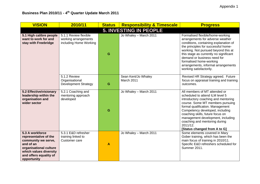| <b>VISION</b>                                                                                                                                                             | 2010/11                                                                 | <b>Status</b>    | <b>Responsibility &amp; Timescale</b> | <b>Progress</b>                                                                                                                                                                                                                                                                                                                                                          |  |  |  |  |
|---------------------------------------------------------------------------------------------------------------------------------------------------------------------------|-------------------------------------------------------------------------|------------------|---------------------------------------|--------------------------------------------------------------------------------------------------------------------------------------------------------------------------------------------------------------------------------------------------------------------------------------------------------------------------------------------------------------------------|--|--|--|--|
| <b>5. INVESTING IN PEOPLE</b>                                                                                                                                             |                                                                         |                  |                                       |                                                                                                                                                                                                                                                                                                                                                                          |  |  |  |  |
| 5.1 High calibre people<br>want to work for and<br>stay with Freebridge                                                                                                   | 5.1.1 Review flexible<br>working arrangements<br>including Home Working | G                | Jo Whaley - March 2011                | Formalised flexible/home-working<br>arrangements for adverse weather<br>conditions, containing explanation of<br>the principles for successful home-<br>working. Not pursued beyond this at<br>this stage as currently no significant<br>demand or business need for<br>formalised home-working<br>arrangements, informal arrangements<br>working satisfactorily.        |  |  |  |  |
|                                                                                                                                                                           | 5.1.2 Review<br>Organisational<br><b>Development Strategy</b>           | G                | Sean Kent/Jo Whaley<br>March 2011     | Revised HR Strategy agreed. Future<br>focus on appraisal training and training<br>outcomes.                                                                                                                                                                                                                                                                              |  |  |  |  |
| 5.2 Effective/visionary<br>leadership within the<br>organisation and<br>wider sector                                                                                      | 5.2.1 Coaching and<br>mentoring approach<br>developed                   | G                | Jo Whaley - March 2011                | All members of MT attended or<br>scheduled to attend ILM level 5<br>introductory coaching and mentoring<br>course. Some MT members pursuing<br>formal qualification. Management<br>Competency developed, including<br>coaching skills, future focus on<br>management development, including<br>coaching and mentoring during<br>2011/12.<br>[Status changed from A to G] |  |  |  |  |
| 5.3 A workforce<br>representative of the<br>community we serve,<br>and of an<br>organisational culture<br>which values diversity<br>and offers equality of<br>opportunity | 5.3.1 E&D refresher<br>training linked to<br>Customer care              | $\boldsymbol{A}$ | Jo Whaley - March 2011                | Some elements covered in Mary<br>Gober training, which has been the<br>main focus of training in 2010/11.<br>Specific E&D refreshers scheduled for<br><b>Summer 2011.</b>                                                                                                                                                                                                |  |  |  |  |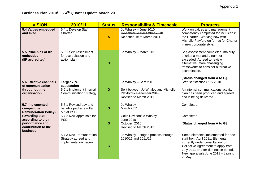| <b>VISION</b>                                                                               | 2010/11                                                                                 | <b>Status</b> | <b>Responsibility &amp; Timescale</b>                                                                              | <b>Progress</b>                                                                                                                                                                                                                           |
|---------------------------------------------------------------------------------------------|-----------------------------------------------------------------------------------------|---------------|--------------------------------------------------------------------------------------------------------------------|-------------------------------------------------------------------------------------------------------------------------------------------------------------------------------------------------------------------------------------------|
| 5.4 Values embedded<br>and lived                                                            | 5.4.1 Develop Staff<br>Charter                                                          | $\mathbf{A}$  | Jo Whaley - June 2010<br>Re-schedule December 2010<br>Re schedule to March 2011                                    | Work on values and management<br>competency completed for inclusion in<br>the Charter. Working now with<br>Michelle Playford on format for Charter<br>in new corporate style.                                                             |
| 5.5 Principles of IIP<br>embedded<br>(IIP accredited)                                       | 5.5.1 Self Assessment<br>for accreditation and<br>action plan                           | G             | Jo Whaley - March 2011                                                                                             | Self-assessment completed, majority<br>of criteria met and a number<br>exceeded. Agreed to review<br>alternative, more challenging<br>frameworks to consider alternative<br>accreditation.<br>[Status changed from A to G]                |
| 5.6 Effective channels<br>of communication<br>throughout the<br>organisation                | Target 75%<br>satisfaction<br>5.6.1 Implement internal<br><b>Communication Strategy</b> | G             | Jo Whaley - Sept 2010<br>Split between Jo Whaley and Michelle<br>Playford - December 2010<br>Revised to March 2011 | Staff satisfaction 81% 2010.<br>An internal communications activity<br>plan has been produced and agreed<br>and is being delivered.                                                                                                       |
| 5.7 Implemented<br>competitive<br><b>Remuneration Policy -</b>                              | 5.7.1 Revised pay and<br>benefits package rolled<br>out at PSD                          | G             | Jo Whaley<br>March 2011                                                                                            | Completed.                                                                                                                                                                                                                                |
| rewarding staff<br>according to their<br>performance and<br>contribution to the<br>business | 5.7.2 New appraisals for<br><b>PSD</b>                                                  | G             | Colin Davison/Jo Whaley<br>June 2010<br>October 2010<br>Revised to March 2011.                                     | Completed.<br>[Status changed from A to G]                                                                                                                                                                                                |
|                                                                                             | 5.7.3 New Remuneration<br>Strategy agreed and<br>implementation begun                   | G             | Jo Whaley - staged process through<br>2010/11 and 2011/12                                                          | Some elements implemented for new<br>staff from April 2011. Elements<br>currently under consultation for<br>Collective Agreement to apply from<br>July 2011 or after due notice period.<br>New appraisals June 2011 - training<br>in May. |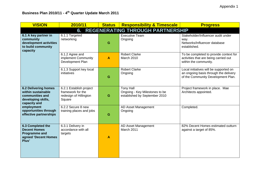| <b>VISION</b>                                                                                              | 2010/11                                                                          | Status | <b>Responsibility &amp; Timescale</b>                                               | <b>Progress</b>                                                                                                       |  |  |  |  |
|------------------------------------------------------------------------------------------------------------|----------------------------------------------------------------------------------|--------|-------------------------------------------------------------------------------------|-----------------------------------------------------------------------------------------------------------------------|--|--|--|--|
| <b>REGENERATING THROUGH PARTNERSHIP</b><br>6.                                                              |                                                                                  |        |                                                                                     |                                                                                                                       |  |  |  |  |
| 6.1 A key partner in<br>community<br>development activities<br>to build community<br>capacity              | 6.1.1 Targeted<br>networking                                                     | G      | <b>Executive Team</b><br>Ongoing                                                    | Stakeholder/Influencer audit under<br>way.<br>Networks/Influencer database<br>established.                            |  |  |  |  |
|                                                                                                            | 6.1.2 Agree and<br>implement Community<br>Development Plan                       | A      | <b>Robert Clarke</b><br>March 2010                                                  | To be completed to provide context for<br>activities that are being carried out<br>within the community.              |  |  |  |  |
|                                                                                                            | 6.1.3 Support key local<br>initiatives                                           | G      | <b>Robert Clarke</b><br>Ongoing                                                     | Local initiatives will be supported on<br>an ongoing basis through the delivery<br>of the Community Development Plan. |  |  |  |  |
| <b>6.2 Delivering homes</b><br>within sustainable<br>communities and<br>developing skills,<br>capacity and | 6.2.1 Establish project<br>framework for the<br>redesign of Hillington<br>Square | G      | <b>Tony Hall</b><br>Ongoing - Key Milestones to be<br>established by September 2010 | Project framework in place. Mae<br>Architects appointed.                                                              |  |  |  |  |
| employment<br>opportunities through<br>effective partnerships                                              | 6.2.2 Secure 8 new<br>training places and jobs                                   | G      | AD Asset Management<br>Ongoing                                                      | Completed.                                                                                                            |  |  |  |  |
| 6.3 Completed the<br><b>Decent Homes</b><br><b>Programme and</b><br>agreed 'Decent Homes<br>Plus'          | 6.3.1 Delivery in<br>accordance with all<br>targets                              | A      | AD Asset Management<br>March 2011                                                   | 82% Decent Homes estimated outturn<br>against a target of 85%.                                                        |  |  |  |  |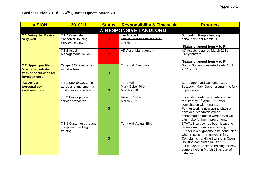| <b>VISION</b>                                                                                     | 2010/11                                                                     | <b>Status</b> | <b>Responsibility &amp; Timescale</b>                      | <b>Progress</b>                                                                                                                                                                                                                                                                                                               |  |  |  |  |
|---------------------------------------------------------------------------------------------------|-----------------------------------------------------------------------------|---------------|------------------------------------------------------------|-------------------------------------------------------------------------------------------------------------------------------------------------------------------------------------------------------------------------------------------------------------------------------------------------------------------------------|--|--|--|--|
| 7. RESPONSIVE LANDLORD                                                                            |                                                                             |               |                                                            |                                                                                                                                                                                                                                                                                                                               |  |  |  |  |
| 7.1 Doing the 'Basics'<br>very well                                                               | 7.1.2 Complete<br><b>Sheltered Housing</b><br><b>Service Review</b>         | R.            | Jan Mitchell<br>Due for completion late 2010<br>March 2011 | <b>Supporting People funding</b><br>announcement March 11.<br>[Status changed from A to R]                                                                                                                                                                                                                                    |  |  |  |  |
|                                                                                                   | 7.1.2 Asset<br><b>Management Review</b>                                     | $\mathsf{R}$  | AD Asset Management                                        | AD Assets resigned March 2011<br>Carry forward.<br>[Status changed from A to R]                                                                                                                                                                                                                                               |  |  |  |  |
| 7.2 Upper quartile on<br><b>'customer satisfaction</b><br>with opportunities for<br>involvement'. | <b>Target 85% customer</b><br>satisfaction                                  | G             | <b>Tony Hall/Executive</b>                                 | Status Survey completed early April<br>2011 - 88%.                                                                                                                                                                                                                                                                            |  |  |  |  |
| <b>7.3 Deliver</b><br>personalised<br>customer care                                               | 7.3.1 Key initiative: To<br>agree and implement a<br>customer care strategy | G             | <b>Tony Hall</b><br>Mary Gober Pilot<br><b>March 2010</b>  | Board approved Customer Care<br>Strategy. Mary Gober programme fully<br>implemented.                                                                                                                                                                                                                                          |  |  |  |  |
|                                                                                                   | 7.3.2 Develop local<br>service standards                                    | G             | <b>Robert Clarke</b><br>March 2011                         | Local standards were published as<br>required by 1 <sup>st</sup> April 2011 after<br>consultation with tenants.<br>Further work is now taking place on<br>how local standards will be<br>benchmarked and in what areas we<br>can make further improvements.                                                                   |  |  |  |  |
|                                                                                                   | 7.3.3 Customer care and<br>complaint handling<br>training.                  | G             | Tony Hall/Abigail Ellis                                    | STATUS survey has been issued to<br>tenants and results are coming in.<br>Further investigations to be conducted<br>when results are received in full.<br>Complaints handling training in Open<br>Housing completed in Feb 11.<br>First 'Gober Cascade training for new<br>starters held in March 11 as part of<br>induction. |  |  |  |  |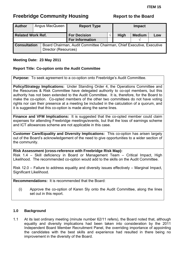<span id="page-53-0"></span>

| <b>Author</b>            |  | Angus MacQueen                                                                               | <b>Report Type</b>                            |             | <b>Impact</b> |               |     |
|--------------------------|--|----------------------------------------------------------------------------------------------|-----------------------------------------------|-------------|---------------|---------------|-----|
| <b>Related Work Ref.</b> |  |                                                                                              | <b>For Decision</b><br><b>For Information</b> | <b>High</b> |               | <b>Medium</b> | Low |
| <b>Consultation</b>      |  | Board Chairman, Audit Committee Chairman, Chief Executive, Executive<br>Director (Resources) |                                               |             |               |               |     |

## **Meeting Date: 23 May 2011**

## **Report Title: Co-option onto the Audit Committee**

**Purpose:** To seek agreement to a co-option onto Freebridge's Audit Committee.

**Policy/Strategy Implications:** Under Standing Order 4, the Operations Committee and the Resources & Risk Committee have delegated authority to co-opt members, but this authority has not been extended to the Audit Committee. It is, therefore, for the Board to make the co-option. Co-opted members of the other two committees do not have voting rights nor can their presence at a meeting be included in the calculation of a quorum, and it is suggested that this co-option is made along the same lines.

**Finance and VFM Implications:** It is suggested that the co-opted member could claim expenses for attending Freebridge meetings/events, but that the loss of earnings scheme and ICT allowances scheme are not applicable in this case.

**Customer Care/Equality and Diversity Implications:** This co-option has arisen largely out of the Board's acknowledgement of the need to give opportunities to a wider section of the community.

**Risk Assessment (cross-reference with Freebridge Risk Map):**  Risk 1.4 – Skill deficiency in Board or Management Team – Critical Impact, High Likelihood. The recommended co-option would add to the skills on the Audit Committee.

Risk 12.0 – Failure to address equality and diversity issues effectively – Marginal Impact, Significant Likelihood.

**Recommendations:** It is recommended that the Board:

(i) Approve the co-option of Karen Sly onto the Audit Committee, along the lines set out in this report.

## **1.0 Background**

1.1 At its last ordinary meeting (minute number 62/11 refers), the Board noted that, although equality and diversity implications had been taken into consideration by the 2011 Independent Board Member Recruitment Panel, the overriding importance of appointing the candidates with the best skills and experience had resulted in there being no improvement in the diversity of the Board.